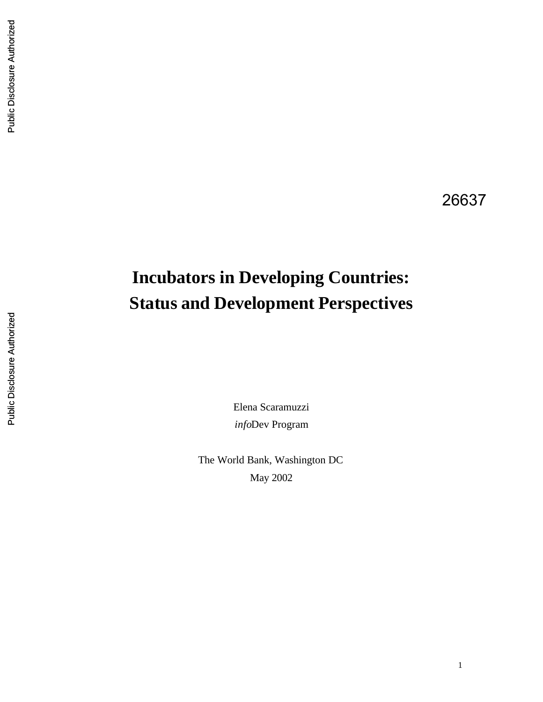# **Incubators in Developing Countries: Status and Development Perspectives**

Elena Scaramuzzi *info*Dev Program

The World Bank, Washington DC May 2002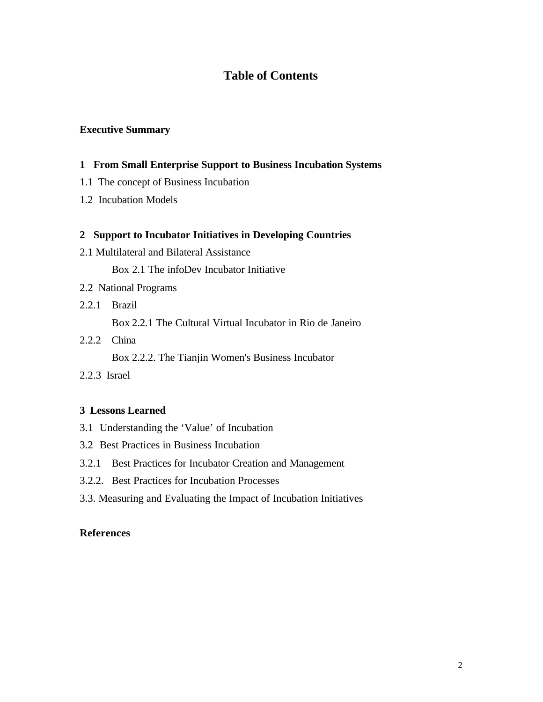# **Table of Contents**

#### **Executive Summary**

#### **1 From Small Enterprise Support to Business Incubation Systems**

- 1.1 The concept of Business Incubation
- 1.2 Incubation Models

#### **2 Support to Incubator Initiatives in Developing Countries**

2.1 Multilateral and Bilateral Assistance

Box 2.1 The infoDev Incubator Initiative

- 2.2 National Programs
- 2.2.1 Brazil

Box 2.2.1 The Cultural Virtual Incubator in Rio de Janeiro

2.2.2 China

Box 2.2.2. The Tianjin Women's Business Incubator

2.2.3 Israel

#### **3 Lessons Learned**

- 3.1 Understanding the 'Value' of Incubation
- 3.2 Best Practices in Business Incubation
- 3.2.1 Best Practices for Incubator Creation and Management
- 3.2.2. Best Practices for Incubation Processes
- 3.3. Measuring and Evaluating the Impact of Incubation Initiatives

#### **References**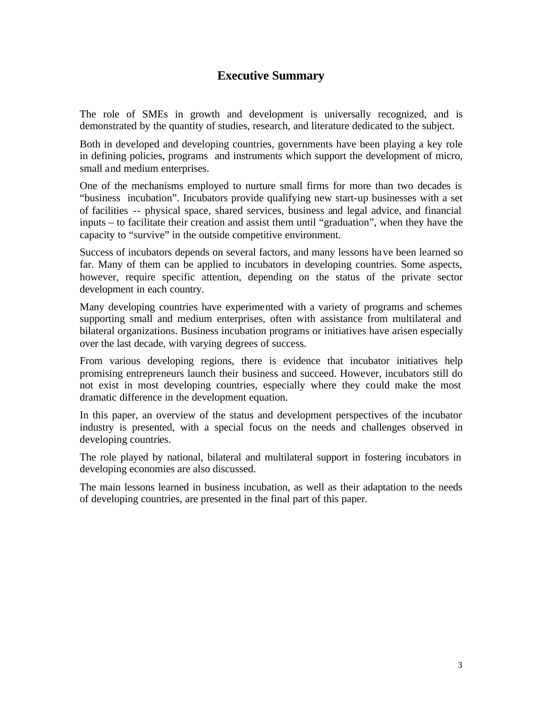# **Executive Summary**

The role of SMEs in growth and development is universally recognized, and is demonstrated by the quantity of studies, research, and literature dedicated to the subject.

Both in developed and developing countries, governments have been playing a key role in defining policies, programs and instruments which support the development of micro, small and medium enterprises.

One of the mechanisms employed to nurture small firms for more than two decades is "business incubation". Incubators provide qualifying new start-up businesses with a set of facilities -- physical space, shared services, business and legal advice, and financial inputs – to facilitate their creation and assist them until "graduation", when they have the capacity to "survive" in the outside competitive environment.

Success of incubators depends on several factors, and many lessons have been learned so far. Many of them can be applied to incubators in developing countries. Some aspects, however, require specific attention, depending on the status of the private sector development in each country.

Many developing countries have experimented with a variety of programs and schemes supporting small and medium enterprises, often with assistance from multilateral and bilateral organizations. Business incubation programs or initiatives have arisen especially over the last decade, with varying degrees of success.

From various developing regions, there is evidence that incubator initiatives help promising entrepreneurs launch their business and succeed. However, incubators still do not exist in most developing countries, especially where they could make the most dramatic difference in the development equation.

In this paper, an overview of the status and development perspectives of the incubator industry is presented, with a special focus on the needs and challenges observed in developing countries.

The role played by national, bilateral and multilateral support in fostering incubators in developing economies are also discussed.

The main lessons learned in business incubation, as well as their adaptation to the needs of developing countries, are presented in the final part of this paper.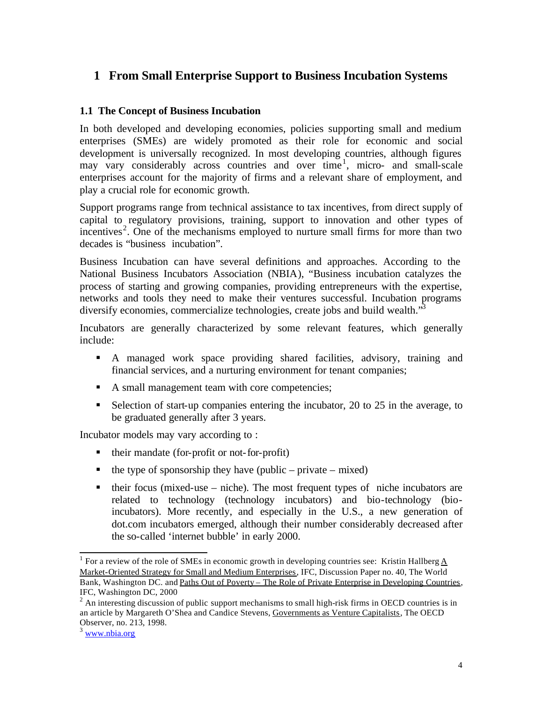# **1 From Small Enterprise Support to Business Incubation Systems**

#### **1.1 The Concept of Business Incubation**

In both developed and developing economies, policies supporting small and medium enterprises (SMEs) are widely promoted as their role for economic and social development is universally recognized. In most developing countries, although figures may vary considerably across countries and over time<sup>1</sup>, micro- and small-scale enterprises account for the majority of firms and a relevant share of employment, and play a crucial role for economic growth.

Support programs range from technical assistance to tax incentives, from direct supply of capital to regulatory provisions, training, support to innovation and other types of incentives<sup>2</sup>. One of the mechanisms employed to nurture small firms for more than two decades is "business incubation".

Business Incubation can have several definitions and approaches. According to the National Business Incubators Association (NBIA), "Business incubation catalyzes the process of starting and growing companies, providing entrepreneurs with the expertise, networks and tools they need to make their ventures successful. Incubation programs diversify economies, commercialize technologies, create jobs and build wealth."

Incubators are generally characterized by some relevant features, which generally include:

- ß A managed work space providing shared facilities, advisory, training and financial services, and a nurturing environment for tenant companies;
- A small management team with core competencies;
- Selection of start-up companies entering the incubator, 20 to 25 in the average, to be graduated generally after 3 years.

Incubator models may vary according to :

- their mandate (for-profit or not-for-profit)
- $\blacksquare$  the type of sponsorship they have (public private mixed)
- $\blacksquare$  their focus (mixed-use niche). The most frequent types of niche incubators are related to technology (technology incubators) and bio-technology (bioincubators). More recently, and especially in the U.S., a new generation of dot.com incubators emerged, although their number considerably decreased after the so-called 'internet bubble' in early 2000.

<sup>&</sup>lt;sup>1</sup> For a review of the role of SMEs in economic growth in developing countries see: Kristin Hallberg  $\underline{A}$ Market-Oriented Strategy for Small and Medium Enterprises, IFC, Discussion Paper no. 40, The World Bank, Washington DC. and Paths Out of Poverty – The Role of Private Enterprise in Developing Countries, IFC, Washington DC, 2000

 $2 \text{ An interesting discussion of public support mechanisms to small high-risk firms in OECD countries is in }$ an article by Margareth O'Shea and Candice Stevens, Governments as Venture Capitalists, The OECD Observer, no. 213, 1998.

 $3$  www.nbia.org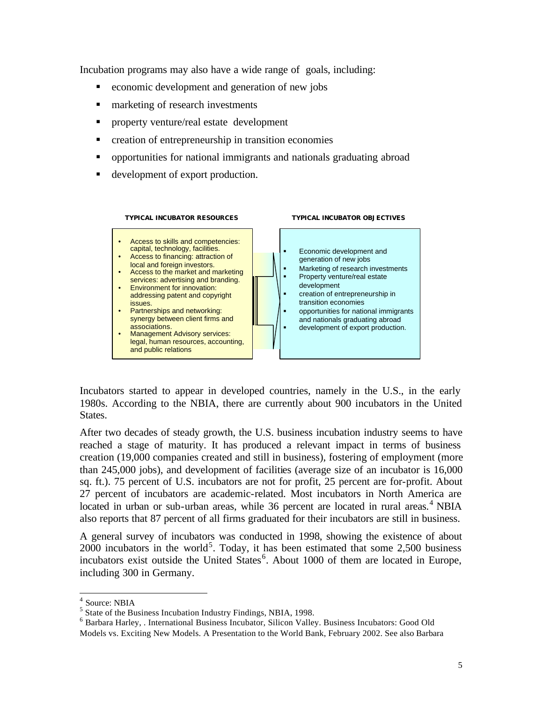Incubation programs may also have a wide range of goals, including:

- ß economic development and generation of new jobs
- marketing of research investments
- **•** property venture/real estate development
- creation of entrepreneurship in transition economies
- opportunities for national immigrants and nationals graduating abroad
- development of export production.



Incubators started to appear in developed countries, namely in the U.S., in the early 1980s. According to the NBIA, there are currently about 900 incubators in the United States.

After two decades of steady growth, the U.S. business incubation industry seems to have reached a stage of maturity. It has produced a relevant impact in terms of business creation (19,000 companies created and still in business), fostering of employment (more than 245,000 jobs), and development of facilities (average size of an incubator is 16,000 sq. ft.). 75 percent of U.S. incubators are not for profit, 25 percent are for-profit. About 27 percent of incubators are academic-related. Most incubators in North America are located in urban or sub-urban areas, while 36 percent are located in rural areas.<sup>4</sup> NBIA also reports that 87 percent of all firms graduated for their incubators are still in business.

A general survey of incubators was conducted in 1998, showing the existence of about  $2000$  incubators in the world<sup>5</sup>. Today, it has been estimated that some 2,500 business incubators exist outside the United States<sup>6</sup>. About 1000 of them are located in Europe, including 300 in Germany.

<sup>4</sup> Source: NBIA

<sup>&</sup>lt;sup>5</sup> State of the Business Incubation Industry Findings, NBIA, 1998.

<sup>&</sup>lt;sup>6</sup> Barbara Harley, . International Business Incubator, Silicon Valley. Business Incubators: Good Old Models vs. Exciting New Models. A Presentation to the World Bank, February 2002. See also Barbara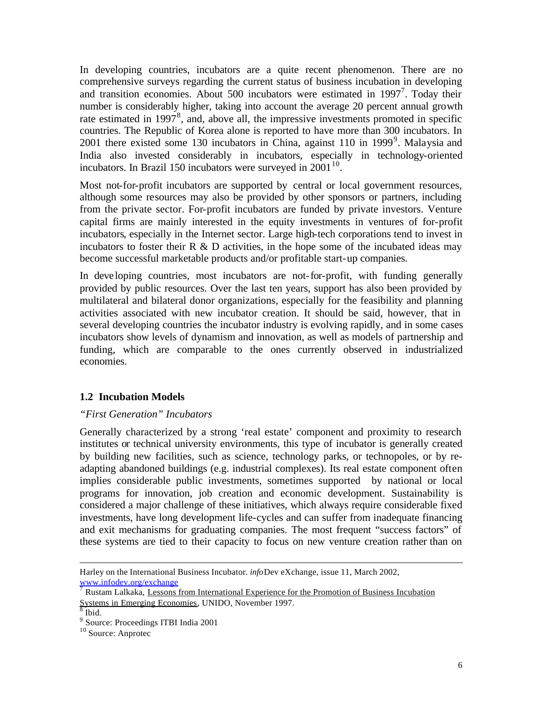In developing countries, incubators are a quite recent phenomenon. There are no comprehensive surveys regarding the current status of business incubation in developing and transition economies. About 500 incubators were estimated in  $1997^7$ . Today their number is considerably higher, taking into account the average 20 percent annual growth rate estimated in 1997 $<sup>8</sup>$ , and, above all, the impressive investments promoted in specific</sup> countries. The Republic of Korea alone is reported to have more than 300 incubators. In 2001 there existed some 130 incubators in China, against 110 in 1999<sup>9</sup>. Malaysia and India also invested considerably in incubators, especially in technology-oriented incubators. In Brazil 150 incubators were surveyed in  $2001^{10}$ .

Most not-for-profit incubators are supported by central or local government resources, although some resources may also be provided by other sponsors or partners, including from the private sector. For-profit incubators are funded by private investors. Venture capital firms are mainly interested in the equity investments in ventures of for-profit incubators, especially in the Internet sector. Large high-tech corporations tend to invest in incubators to foster their  $R \& D$  activities, in the hope some of the incubated ideas may become successful marketable products and/or profitable start-up companies.

In developing countries, most incubators are not-for-profit, with funding generally provided by public resources. Over the last ten years, support has also been provided by multilateral and bilateral donor organizations, especially for the feasibility and planning activities associated with new incubator creation. It should be said, however, that in several developing countries the incubator industry is evolving rapidly, and in some cases incubators show levels of dynamism and innovation, as well as models of partnership and funding, which are comparable to the ones currently observed in industrialized economies.

#### **1.2 Incubation Models**

#### *"First Generation" Incubators*

Generally characterized by a strong 'real estate' component and proximity to research institutes or technical university environments, this type of incubator is generally created by building new facilities, such as science, technology parks, or technopoles, or by readapting abandoned buildings (e.g. industrial complexes). Its real estate component often implies considerable public investments, sometimes supported by national or local programs for innovation, job creation and economic development. Sustainability is considered a major challenge of these initiatives, which always require considerable fixed investments, have long development life-cycles and can suffer from inadequate financing and exit mechanisms for graduating companies. The most frequent "success factors" of these systems are tied to their capacity to focus on new venture creation rather than on

Harley on the International Business Incubator. *info*Dev eXchange, issue 11, March 2002, www.infodev.org/exchange

<sup>7</sup> Rustam Lalkaka, Lessons from International Experience for the Promotion of Business Incubation Systems in Emerging Economies, UNIDO, November 1997.<br><sup>8</sup> Ibid.

<sup>&</sup>lt;sup>9</sup> Source: Proceedings ITBI India 2001

<sup>&</sup>lt;sup>10</sup> Source: Anprotec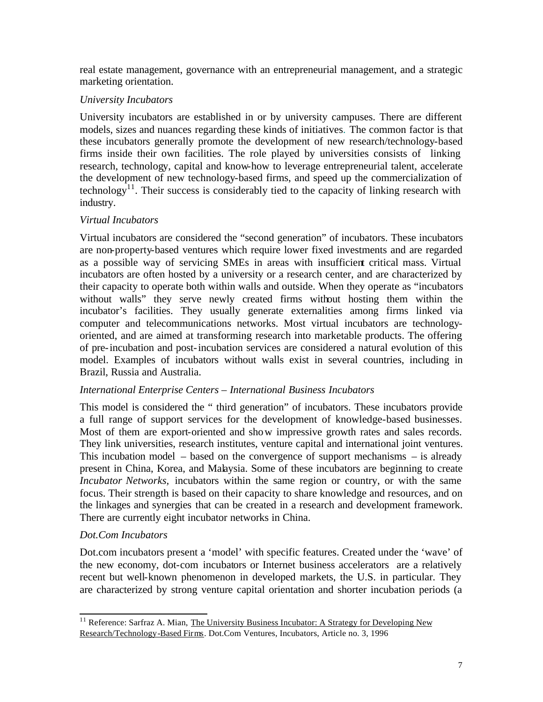real estate management, governance with an entrepreneurial management, and a strategic marketing orientation.

# *University Incubators*

University incubators are established in or by university campuses. There are different models, sizes and nuances regarding these kinds of initiatives. The common factor is that these incubators generally promote the development of new research/technology-based firms inside their own facilities. The role played by universities consists of linking research, technology, capital and know-how to leverage entrepreneurial talent, accelerate the development of new technology-based firms, and speed up the commercialization of technology<sup>11</sup>. Their success is considerably tied to the capacity of linking research with industry.

# *Virtual Incubators*

Virtual incubators are considered the "second generation" of incubators. These incubators are non-property-based ventures which require lower fixed investments and are regarded as a possible way of servicing SMEs in areas with insufficient critical mass. Virtual incubators are often hosted by a university or a research center, and are characterized by their capacity to operate both within walls and outside. When they operate as "incubators without walls" they serve newly created firms without hosting them within the incubator's facilities. They usually generate externalities among firms linked via computer and telecommunications networks. Most virtual incubators are technologyoriented, and are aimed at transforming research into marketable products. The offering of pre-incubation and post-incubation services are considered a natural evolution of this model. Examples of incubators without walls exist in several countries, including in Brazil, Russia and Australia.

## *International Enterprise Centers – International Business Incubators*

This model is considered the " third generation" of incubators. These incubators provide a full range of support services for the development of knowledge-based businesses. Most of them are export-oriented and show impressive growth rates and sales records. They link universities, research institutes, venture capital and international joint ventures. This incubation model – based on the convergence of support mechanisms – is already present in China, Korea, and Malaysia. Some of these incubators are beginning to create *Incubator Networks,* incubators within the same region or country, or with the same focus. Their strength is based on their capacity to share knowledge and resources, and on the linkages and synergies that can be created in a research and development framework. There are currently eight incubator networks in China.

## *Dot.Com Incubators*

l

Dot.com incubators present a 'model' with specific features. Created under the 'wave' of the new economy, dot-com incubators or Internet business accelerators are a relatively recent but well-known phenomenon in developed markets, the U.S. in particular. They are characterized by strong venture capital orientation and shorter incubation periods (a

 $11$  Reference: Sarfraz A. Mian, The University Business Incubator: A Strategy for Developing New Research/Technology-Based Firms. Dot.Com Ventures, Incubators, Article no. 3, 1996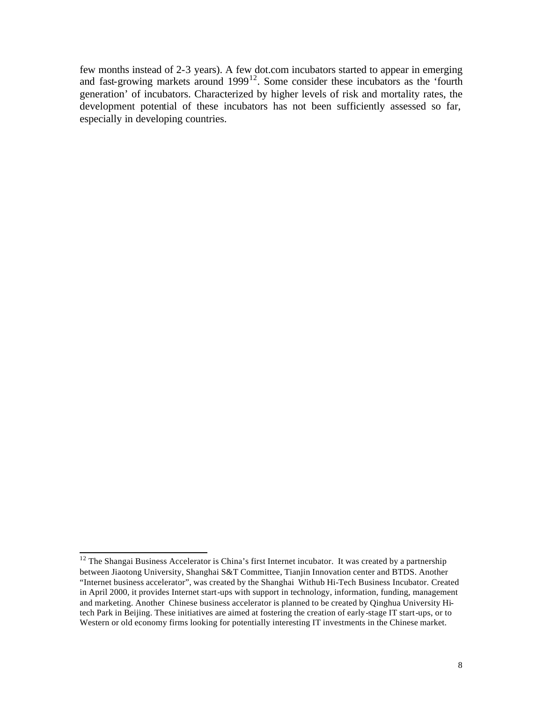few months instead of 2-3 years). A few dot.com incubators started to appear in emerging and fast-growing markets around  $1999^{12}$ . Some consider these incubators as the 'fourth generation' of incubators. Characterized by higher levels of risk and mortality rates, the development potential of these incubators has not been sufficiently assessed so far, especially in developing countries.

 $12$  The Shangai Business Accelerator is China's first Internet incubator. It was created by a partnership between Jiaotong University, Shanghai S&T Committee, Tianjin Innovation center and BTDS. Another "Internet business accelerator", was created by the Shanghai Withub Hi-Tech Business Incubator. Created in April 2000, it provides Internet start-ups with support in technology, information, funding, management and marketing. Another Chinese business accelerator is planned to be created by Qinghua University Hitech Park in Beijing. These initiatives are aimed at fostering the creation of early-stage IT start-ups, or to Western or old economy firms looking for potentially interesting IT investments in the Chinese market.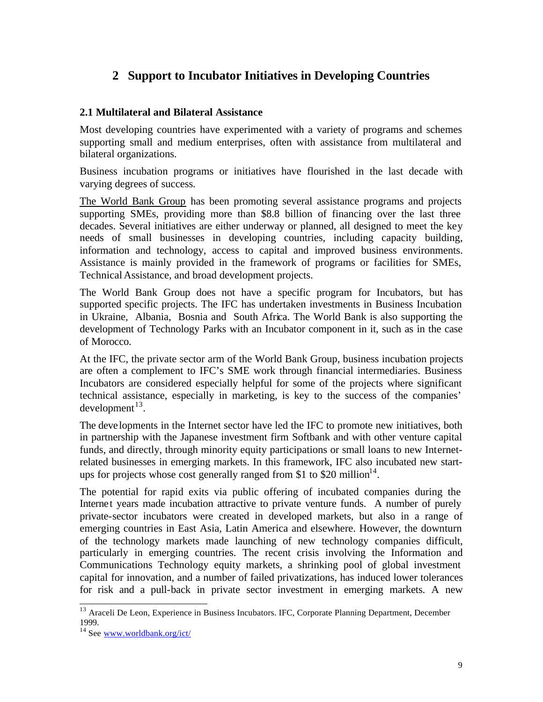# **2 Support to Incubator Initiatives in Developing Countries**

#### **2.1 Multilateral and Bilateral Assistance**

Most developing countries have experimented with a variety of programs and schemes supporting small and medium enterprises, often with assistance from multilateral and bilateral organizations.

Business incubation programs or initiatives have flourished in the last decade with varying degrees of success.

The World Bank Group has been promoting several assistance programs and projects supporting SMEs, providing more than \$8.8 billion of financing over the last three decades. Several initiatives are either underway or planned, all designed to meet the key needs of small businesses in developing countries, including capacity building, information and technology, access to capital and improved business environments. Assistance is mainly provided in the framework of programs or facilities for SMEs, Technical Assistance, and broad development projects.

The World Bank Group does not have a specific program for Incubators, but has supported specific projects. The IFC has undertaken investments in Business Incubation in Ukraine, Albania, Bosnia and South Africa. The World Bank is also supporting the development of Technology Parks with an Incubator component in it, such as in the case of Morocco.

At the IFC, the private sector arm of the World Bank Group, business incubation projects are often a complement to IFC's SME work through financial intermediaries. Business Incubators are considered especially helpful for some of the projects where significant technical assistance, especially in marketing, is key to the success of the companies'  $d$ evelopment $^{13}$ .

The developments in the Internet sector have led the IFC to promote new initiatives, both in partnership with the Japanese investment firm Softbank and with other venture capital funds, and directly, through minority equity participations or small loans to new Internetrelated businesses in emerging markets. In this framework, IFC also incubated new startups for projects whose cost generally ranged from \$1 to \$20 million<sup>14</sup>.

The potential for rapid exits via public offering of incubated companies during the Internet years made incubation attractive to private venture funds. A number of purely private-sector incubators were created in developed markets, but also in a range of emerging countries in East Asia, Latin America and elsewhere. However, the downturn of the technology markets made launching of new technology companies difficult, particularly in emerging countries. The recent crisis involving the Information and Communications Technology equity markets, a shrinking pool of global investment capital for innovation, and a number of failed privatizations, has induced lower tolerances for risk and a pull-back in private sector investment in emerging markets. A new

<sup>&</sup>lt;sup>13</sup> Araceli De Leon, Experience in Business Incubators. IFC, Corporate Planning Department, December 1999.

<sup>14</sup> See www.worldbank.org/ict/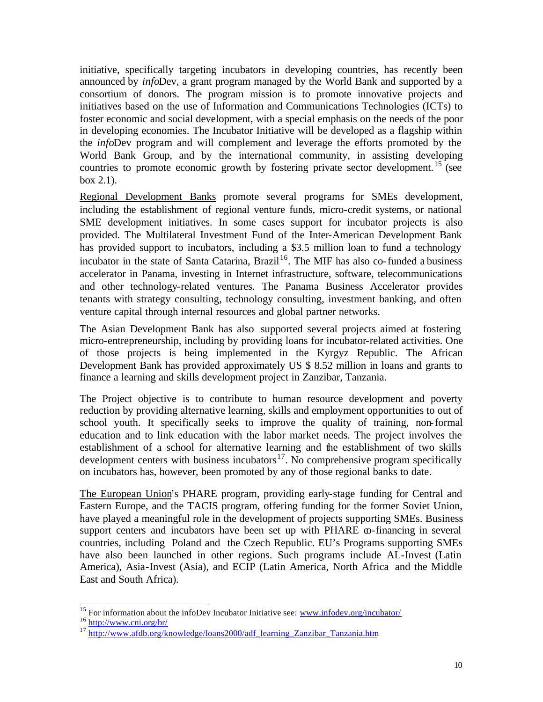initiative, specifically targeting incubators in developing countries, has recently been announced by *info*Dev, a grant program managed by the World Bank and supported by a consortium of donors. The program mission is to promote innovative projects and initiatives based on the use of Information and Communications Technologies (ICTs) to foster economic and social development, with a special emphasis on the needs of the poor in developing economies. The Incubator Initiative will be developed as a flagship within the *info*Dev program and will complement and leverage the efforts promoted by the World Bank Group, and by the international community, in assisting developing countries to promote economic growth by fostering private sector development.<sup>15</sup> (see box 2.1).

Regional Development Banks promote several programs for SMEs development, including the establishment of regional venture funds, micro-credit systems, or national SME development initiatives. In some cases support for incubator projects is also provided. The Multilateral Investment Fund of the Inter-American Development Bank has provided support to incubators, including a \$3.5 million loan to fund a technology incubator in the state of Santa Catarina, Brazil<sup>16</sup>. The MIF has also co-funded a business accelerator in Panama, investing in Internet infrastructure, software, telecommunications and other technology-related ventures. The Panama Business Accelerator provides tenants with strategy consulting, technology consulting, investment banking, and often venture capital through internal resources and global partner networks.

The Asian Development Bank has also supported several projects aimed at fostering micro-entrepreneurship, including by providing loans for incubator-related activities. One of those projects is being implemented in the Kyrgyz Republic. The African Development Bank has provided approximately US \$ 8.52 million in loans and grants to finance a learning and skills development project in Zanzibar, Tanzania.

The Project objective is to contribute to human resource development and poverty reduction by providing alternative learning, skills and employment opportunities to out of school youth. It specifically seeks to improve the quality of training, non-formal education and to link education with the labor market needs. The project involves the establishment of a school for alternative learning and the establishment of two skills development centers with business incubators<sup>17</sup>. No comprehensive program specifically on incubators has, however, been promoted by any of those regional banks to date.

The European Union's PHARE program, providing early-stage funding for Central and Eastern Europe, and the TACIS program, offering funding for the former Soviet Union, have played a meaningful role in the development of projects supporting SMEs. Business support centers and incubators have been set up with PHARE  $\infty$ -financing in several countries, including Poland and the Czech Republic. EU's Programs supporting SMEs have also been launched in other regions. Such programs include AL-Invest (Latin America), Asia-Invest (Asia), and ECIP (Latin America, North Africa and the Middle East and South Africa).

<sup>&</sup>lt;sup>15</sup> For information about the infoDev Incubator Initiative see: www.infodev.org/incubator/

<sup>16</sup> http://www.cni.org/br/

 $17$  http://www.afdb.org/knowledge/loans2000/adf\_learning\_Zanzibar\_Tanzania.htm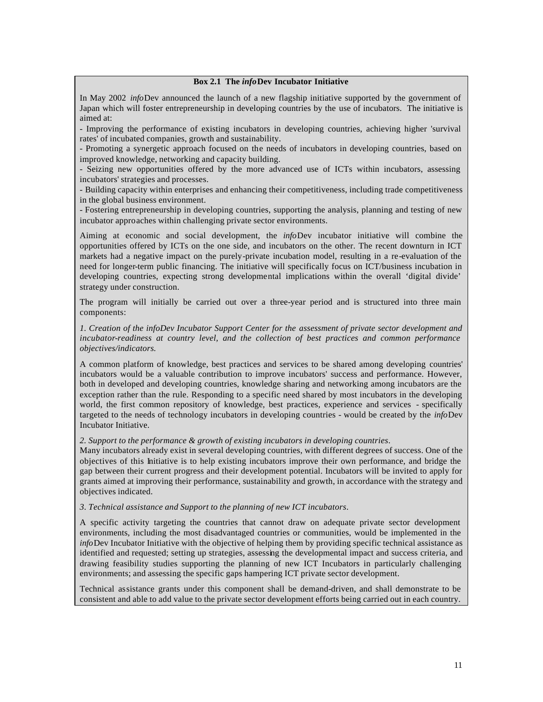#### **Box 2.1 The** *info***Dev Incubator Initiative**

In May 2002 *info*Dev announced the launch of a new flagship initiative supported by the government of Japan which will foster entrepreneurship in developing countries by the use of incubators. The initiative is aimed at:

- Improving the performance of existing incubators in developing countries, achieving higher 'survival rates' of incubated companies, growth and sustainability.

- Promoting a synergetic approach focused on the needs of incubators in developing countries, based on improved knowledge, networking and capacity building.

- Seizing new opportunities offered by the more advanced use of ICTs within incubators, assessing incubators' strategies and processes.

- Building capacity within enterprises and enhancing their competitiveness, including trade competitiveness in the global business environment.

- Fostering entrepreneurship in developing countries, supporting the analysis, planning and testing of new incubator approaches within challenging private sector environments.

Aiming at economic and social development, the *info*Dev incubator initiative will combine the opportunities offered by ICTs on the one side, and incubators on the other. The recent downturn in ICT markets had a negative impact on the purely-private incubation model, resulting in a re-evaluation of the need for longer-term public financing. The initiative will specifically focus on ICT/business incubation in developing countries, expecting strong developmental implications within the overall 'digital divide' strategy under construction.

The program will initially be carried out over a three-year period and is structured into three main components:

*1. Creation of the infoDev Incubator Support Center for the assessment of private sector development and incubator-readiness at country level, and the collection of best practices and common performance objectives/indicators.*

A common platform of knowledge, best practices and services to be shared among developing countries' incubators would be a valuable contribution to improve incubators' success and performance. However, both in developed and developing countries, knowledge sharing and networking among incubators are the exception rather than the rule. Responding to a specific need shared by most incubators in the developing world, the first common repository of knowledge, best practices, experience and services - specifically targeted to the needs of technology incubators in developing countries - would be created by the *info*Dev Incubator Initiative.

#### *2. Support to the performance & growth of existing incubators in developing countries*.

Many incubators already exist in several developing countries, with different degrees of success. One of the objectives of this Initiative is to help existing incubators improve their own performance, and bridge the gap between their current progress and their development potential. Incubators will be invited to apply for grants aimed at improving their performance, sustainability and growth, in accordance with the strategy and objectives indicated.

#### *3. Technical assistance and Support to the planning of new ICT incubators*.

A specific activity targeting the countries that cannot draw on adequate private sector development environments, including the most disadvantaged countries or communities, would be implemented in the *info*Dev Incubator Initiative with the objective of helping them by providing specific technical assistance as identified and requested; setting up strategies, assessing the developmental impact and success criteria, and drawing feasibility studies supporting the planning of new ICT Incubators in particularly challenging environments; and assessing the specific gaps hampering ICT private sector development.

Technical assistance grants under this component shall be demand-driven, and shall demonstrate to be consistent and able to add value to the private sector development efforts being carried out in each country.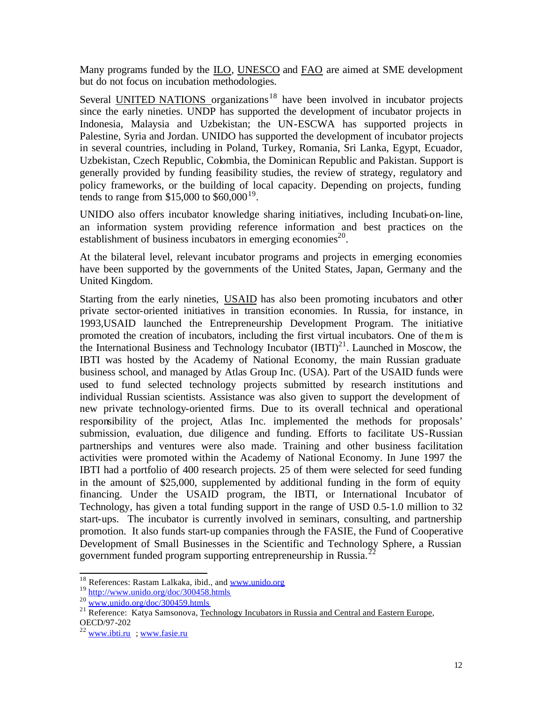Many programs funded by the ILO, UNESCO and FAO are aimed at SME development but do not focus on incubation methodologies.

Several UNITED NATIONS organizations<sup>18</sup> have been involved in incubator projects since the early nineties. UNDP has supported the development of incubator projects in Indonesia, Malaysia and Uzbekistan; the UN-ESCWA has supported projects in Palestine, Syria and Jordan. UNIDO has supported the development of incubator projects in several countries, including in Poland, Turkey, Romania, Sri Lanka, Egypt, Ecuador, Uzbekistan, Czech Republic, Colombia, the Dominican Republic and Pakistan. Support is generally provided by funding feasibility studies, the review of strategy, regulatory and policy frameworks, or the building of local capacity. Depending on projects, funding tends to range from  $$15,000$  to  $$60,000^{19}$ .

UNIDO also offers incubator knowledge sharing initiatives, including Incubati-on-line, an information system providing reference information and best practices on the establishment of business incubators in emerging economies<sup>20</sup>.

At the bilateral level, relevant incubator programs and projects in emerging economies have been supported by the governments of the United States, Japan, Germany and the United Kingdom.

Starting from the early nineties, USAID has also been promoting incubators and other private sector-oriented initiatives in transition economies. In Russia, for instance, in 1993,USAID launched the Entrepreneurship Development Program. The initiative promoted the creation of incubators, including the first virtual incubators. One of them is the International Business and Technology Incubator  $(BTI)^{21}$ . Launched in Moscow, the IBTI was hosted by the Academy of National Economy, the main Russian graduate business school, and managed by Atlas Group Inc. (USA). Part of the USAID funds were used to fund selected technology projects submitted by research institutions and individual Russian scientists. Assistance was also given to support the development of new private technology-oriented firms. Due to its overall technical and operational responsibility of the project, Atlas Inc. implemented the methods for proposals' submission, evaluation, due diligence and funding. Efforts to facilitate US-Russian partnerships and ventures were also made. Training and other business facilitation activities were promoted within the Academy of National Economy. In June 1997 the IBTI had a portfolio of 400 research projects. 25 of them were selected for seed funding in the amount of \$25,000, supplemented by additional funding in the form of equity financing. Under the USAID program, the IBTI, or International Incubator of Technology, has given a total funding support in the range of USD 0.5-1.0 million to 32 start-ups. The incubator is currently involved in seminars, consulting, and partnership promotion. It also funds start-up companies through the FASIE, the Fund of Cooperative Development of Small Businesses in the Scientific and Technology Sphere, a Russian government funded program supporting entrepreneurship in Russia.<sup>2</sup>

<sup>&</sup>lt;sup>18</sup> References: Rastam Lalkaka, ibid., and www.unido.org

<sup>19</sup> http://www.unido.org/doc/300458.htmls

<sup>20</sup> www.unido.org/doc/300459.htmls

<sup>&</sup>lt;sup>21</sup> Reference: Katya Samsonova, Technology Incubators in Russia and Central and Eastern Europe, OECD/97-202

 $^{22}$  www.ibti.ru ; www.fasie.ru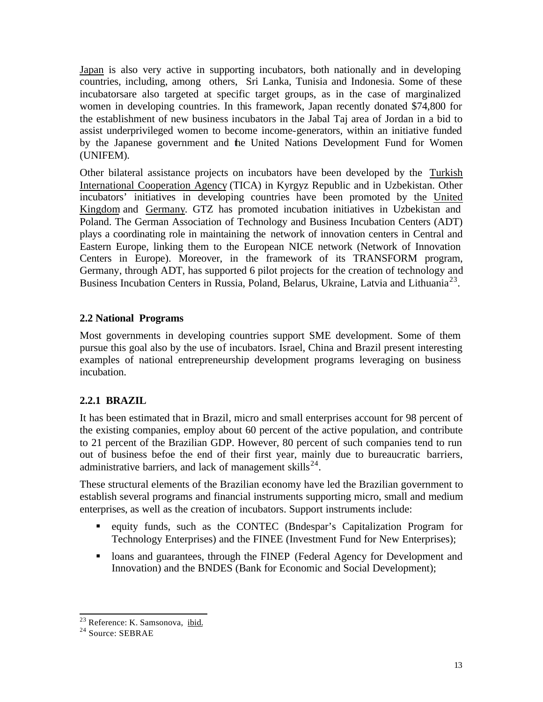Japan is also very active in supporting incubators, both nationally and in developing countries, including, among others, Sri Lanka, Tunisia and Indonesia. Some of these incubatorsare also targeted at specific target groups, as in the case of marginalized women in developing countries. In this framework, Japan recently donated \$74,800 for the establishment of new business incubators in the Jabal Taj area of Jordan in a bid to assist underprivileged women to become income-generators, within an initiative funded by the Japanese government and the United Nations Development Fund for Women (UNIFEM).

Other bilateral assistance projects on incubators have been developed by the Turkish International Cooperation Agency (TICA) in Kyrgyz Republic and in Uzbekistan. Other incubators' initiatives in developing countries have been promoted by the United Kingdom and Germany. GTZ has promoted incubation initiatives in Uzbekistan and Poland. The German Association of Technology and Business Incubation Centers (ADT) plays a coordinating role in maintaining the network of innovation centers in Central and Eastern Europe, linking them to the European NICE network (Network of Innovation Centers in Europe). Moreover, in the framework of its TRANSFORM program, Germany, through ADT, has supported 6 pilot projects for the creation of technology and Business Incubation Centers in Russia, Poland, Belarus, Ukraine, Latvia and Lithuania<sup>23</sup>.

# **2.2 National Programs**

Most governments in developing countries support SME development. Some of them pursue this goal also by the use of incubators. Israel, China and Brazil present interesting examples of national entrepreneurship development programs leveraging on business incubation.

# **2.2.1 BRAZIL**

It has been estimated that in Brazil, micro and small enterprises account for 98 percent of the existing companies, employ about 60 percent of the active population, and contribute to 21 percent of the Brazilian GDP. However, 80 percent of such companies tend to run out of business befoe the end of their first year, mainly due to bureaucratic barriers, administrative barriers, and lack of management skills<sup>24</sup>.

These structural elements of the Brazilian economy have led the Brazilian government to establish several programs and financial instruments supporting micro, small and medium enterprises, as well as the creation of incubators. Support instruments include:

- ß equity funds, such as the CONTEC (Bndespar's Capitalization Program for Technology Enterprises) and the FINEE (Investment Fund for New Enterprises);
- I loans and guarantees, through the FINEP (Federal Agency for Development and Innovation) and the BNDES (Bank for Economic and Social Development);

<sup>&</sup>lt;sup>23</sup> Reference: K. Samsonova, ibid.

<sup>&</sup>lt;sup>24</sup> Source: SEBRAE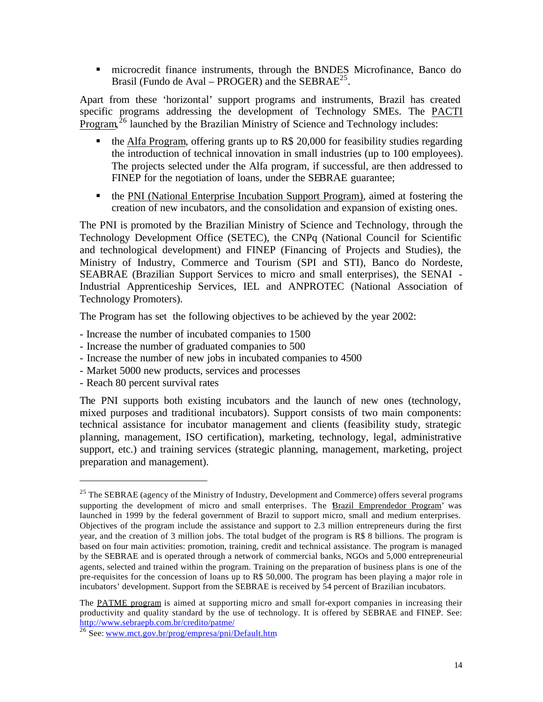**EXECUTE:** microcredit finance instruments, through the BNDES Microfinance, Banco do Brasil (Fundo de Aval – PROGER) and the SEBRA $E^{25}$ .

Apart from these 'horizontal' support programs and instruments, Brazil has created specific programs addressing the development of Technology SMEs. The PACTI  $P_{\text{rogram}}^{\bar{26}}$  launched by the Brazilian Ministry of Science and Technology includes:

- $\bullet$  the Alfa Program, offering grants up to R\$ 20,000 for feasibility studies regarding the introduction of technical innovation in small industries (up to 100 employees). The projects selected under the Alfa program, if successful, are then addressed to FINEP for the negotiation of loans, under the SEBRAE guarantee;
- **•** the PNI (National Enterprise Incubation Support Program), aimed at fostering the creation of new incubators, and the consolidation and expansion of existing ones.

The PNI is promoted by the Brazilian Ministry of Science and Technology, through the Technology Development Office (SETEC), the CNPq (National Council for Scientific and technological development) and FINEP (Financing of Projects and Studies), the Ministry of Industry, Commerce and Tourism (SPI and STI), Banco do Nordeste, SEABRAE (Brazilian Support Services to micro and small enterprises), the SENAI - Industrial Apprenticeship Services, IEL and ANPROTEC (National Association of Technology Promoters).

The Program has set the following objectives to be achieved by the year 2002:

- Increase the number of incubated companies to 1500

- Increase the number of graduated companies to 500
- Increase the number of new jobs in incubated companies to 4500
- Market 5000 new products, services and processes
- Reach 80 percent survival rates

l

The PNI supports both existing incubators and the launch of new ones (technology, mixed purposes and traditional incubators). Support consists of two main components: technical assistance for incubator management and clients (feasibility study, strategic planning, management, ISO certification), marketing, technology, legal, administrative support, etc.) and training services (strategic planning, management, marketing, project preparation and management).

<sup>&</sup>lt;sup>25</sup> The SEBRAE (agency of the Ministry of Industry, Development and Commerce) offers several programs supporting the development of micro and small enterprises. The **Brazil Emprendedor Program**' was launched in 1999 by the federal government of Brazil to support micro, small and medium enterprises. Objectives of the program include the assistance and support to 2.3 million entrepreneurs during the first year, and the creation of 3 million jobs. The total budget of the program is R\$ 8 billions. The program is based on four main activities: promotion, training, credit and technical assistance. The program is managed by the SEBRAE and is operated through a network of commercial banks, NGOs and 5,000 entrepreneurial agents, selected and trained within the program. Training on the preparation of business plans is one of the pre-requisites for the concession of loans up to R\$ 50,000. The program has been playing a major role in incubators' development. Support from the SEBRAE is received by 54 percent of Brazilian incubators.

The PATME program is aimed at supporting micro and small for-export companies in increasing their productivity and quality standard by the use of technology. It is offered by SEBRAE and FINEP. See: http://www.sebraepb.com.br/credito/patme/

<sup>&</sup>lt;sup>26</sup> See: www.mct.gov.br/prog/empresa/pni/Default.htm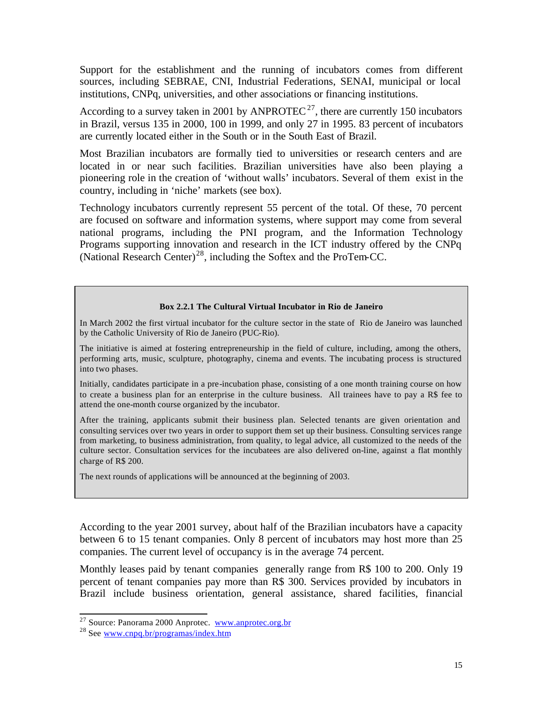Support for the establishment and the running of incubators comes from different sources, including SEBRAE, CNI, Industrial Federations, SENAI, municipal or local institutions, CNPq, universities, and other associations or financing institutions.

According to a survey taken in 2001 by ANPROTEC<sup>27</sup>, there are currently 150 incubators in Brazil, versus 135 in 2000, 100 in 1999, and only 27 in 1995. 83 percent of incubators are currently located either in the South or in the South East of Brazil.

Most Brazilian incubators are formally tied to universities or research centers and are located in or near such facilities. Brazilian universities have also been playing a pioneering role in the creation of 'without walls' incubators. Several of them exist in the country, including in 'niche' markets (see box).

Technology incubators currently represent 55 percent of the total. Of these, 70 percent are focused on software and information systems, where support may come from several national programs, including the PNI program, and the Information Technology Programs supporting innovation and research in the ICT industry offered by the CNPq (National Research Center)<sup>28</sup>, including the Softex and the ProTem-CC.

#### **Box 2.2.1 The Cultural Virtual Incubator in Rio de Janeiro**

In March 2002 the first virtual incubator for the culture sector in the state of Rio de Janeiro was launched by the Catholic University of Rio de Janeiro (PUC-Rio).

The initiative is aimed at fostering entrepreneurship in the field of culture, including, among the others, performing arts, music, sculpture, photography, cinema and events. The incubating process is structured into two phases.

Initially, candidates participate in a pre-incubation phase, consisting of a one month training course on how to create a business plan for an enterprise in the culture business. All trainees have to pay a R\$ fee to attend the one-month course organized by the incubator.

After the training, applicants submit their business plan. Selected tenants are given orientation and consulting services over two years in order to support them set up their business. Consulting services range from marketing, to business administration, from quality, to legal advice, all customized to the needs of the culture sector. Consultation services for the incubatees are also delivered on-line, against a flat monthly charge of R\$ 200.

The next rounds of applications will be announced at the beginning of 2003.

According to the year 2001 survey, about half of the Brazilian incubators have a capacity between 6 to 15 tenant companies. Only 8 percent of incubators may host more than 25 companies. The current level of occupancy is in the average 74 percent.

Monthly leases paid by tenant companies generally range from R\$ 100 to 200. Only 19 percent of tenant companies pay more than R\$ 300. Services provided by incubators in Brazil include business orientation, general assistance, shared facilities, financial

<sup>&</sup>lt;sup>27</sup> Source: Panorama 2000 Anprotec. www.anprotec.org.br

<sup>&</sup>lt;sup>28</sup> See www.cnpq.br/programas/index.htm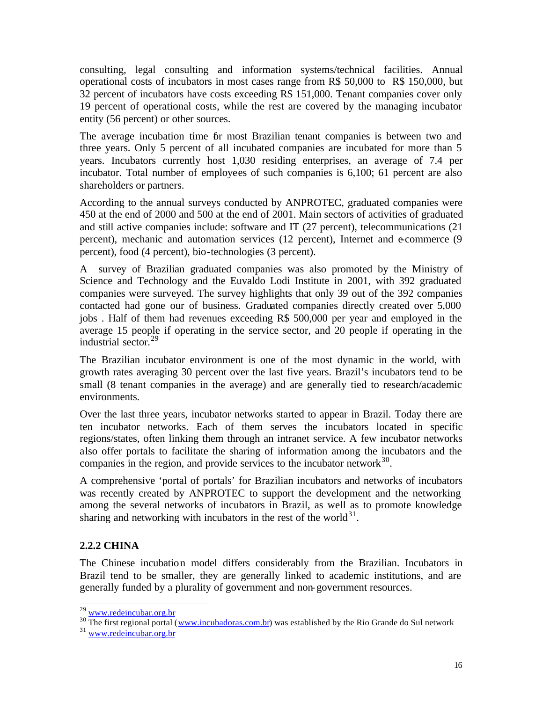consulting, legal consulting and information systems/technical facilities. Annual operational costs of incubators in most cases range from R\$ 50,000 to R\$ 150,000, but 32 percent of incubators have costs exceeding R\$ 151,000. Tenant companies cover only 19 percent of operational costs, while the rest are covered by the managing incubator entity (56 percent) or other sources.

The average incubation time for most Brazilian tenant companies is between two and three years. Only 5 percent of all incubated companies are incubated for more than 5 years. Incubators currently host 1,030 residing enterprises, an average of 7.4 per incubator. Total number of employees of such companies is 6,100; 61 percent are also shareholders or partners.

According to the annual surveys conducted by ANPROTEC, graduated companies were 450 at the end of 2000 and 500 at the end of 2001. Main sectors of activities of graduated and still active companies include: software and IT (27 percent), telecommunications (21 percent), mechanic and automation services (12 percent), Internet and e-commerce (9 percent), food (4 percent), bio-technologies (3 percent).

A survey of Brazilian graduated companies was also promoted by the Ministry of Science and Technology and the Euvaldo Lodi Institute in 2001, with 392 graduated companies were surveyed. The survey highlights that only 39 out of the 392 companies contacted had gone our of business. Graduated companies directly created over 5,000 jobs . Half of them had revenues exceeding R\$ 500,000 per year and employed in the average 15 people if operating in the service sector, and 20 people if operating in the industrial sector.<sup>29</sup>

The Brazilian incubator environment is one of the most dynamic in the world, with growth rates averaging 30 percent over the last five years. Brazil's incubators tend to be small (8 tenant companies in the average) and are generally tied to research/academic environments.

Over the last three years, incubator networks started to appear in Brazil. Today there are ten incubator networks. Each of them serves the incubators located in specific regions/states, often linking them through an intranet service. A few incubator networks also offer portals to facilitate the sharing of information among the incubators and the companies in the region, and provide services to the incubator network $^{30}$ .

A comprehensive 'portal of portals' for Brazilian incubators and networks of incubators was recently created by ANPROTEC to support the development and the networking among the several networks of incubators in Brazil, as well as to promote knowledge sharing and networking with incubators in the rest of the world $31$ .

# **2.2.2 CHINA**

l

The Chinese incubation model differs considerably from the Brazilian. Incubators in Brazil tend to be smaller, they are generally linked to academic institutions, and are generally funded by a plurality of government and non-government resources.

<sup>&</sup>lt;sup>29</sup> www.redeincubar.org.br

<sup>&</sup>lt;sup>30</sup> The first regional portal (www.incubadoras.com.br) was established by the Rio Grande do Sul network

<sup>&</sup>lt;sup>31</sup> www.redeincubar.org.br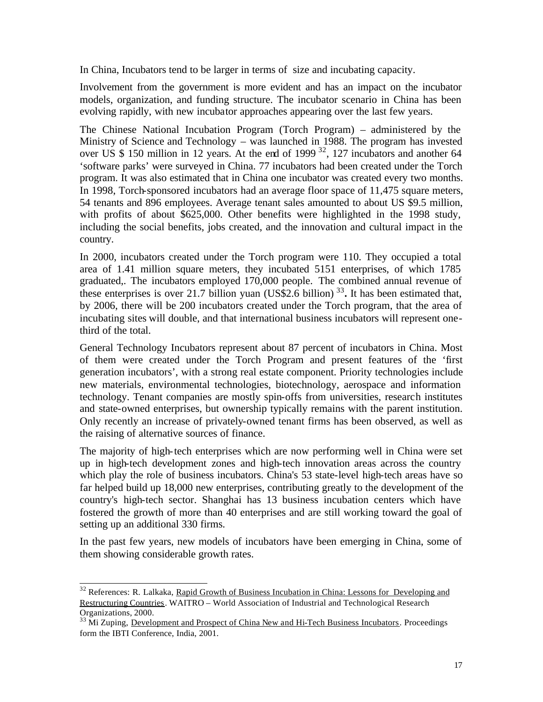In China, Incubators tend to be larger in terms of size and incubating capacity.

Involvement from the government is more evident and has an impact on the incubator models, organization, and funding structure. The incubator scenario in China has been evolving rapidly, with new incubator approaches appearing over the last few years.

The Chinese National Incubation Program (Torch Program) – administered by the Ministry of Science and Technology – was launched in 1988. The program has invested over US  $$ 150$  million in 12 years. At the end of 1999 <sup>32</sup>, 127 incubators and another 64 'software parks' were surveyed in China. 77 incubators had been created under the Torch program. It was also estimated that in China one incubator was created every two months. In 1998, Torch-sponsored incubators had an average floor space of 11,475 square meters, 54 tenants and 896 employees. Average tenant sales amounted to about US \$9.5 million, with profits of about \$625,000. Other benefits were highlighted in the 1998 study, including the social benefits, jobs created, and the innovation and cultural impact in the country.

In 2000, incubators created under the Torch program were 110. They occupied a total area of 1.41 million square meters, they incubated 5151 enterprises, of which 1785 graduated,. The incubators employed 170,000 people. The combined annual revenue of these enterprises is over 21.7 billion yuan (US\$2.6 billion)<sup>33</sup>. It has been estimated that, by 2006, there will be 200 incubators created under the Torch program, that the area of incubating sites will double, and that international business incubators will represent onethird of the total.

General Technology Incubators represent about 87 percent of incubators in China. Most of them were created under the Torch Program and present features of the 'first generation incubators', with a strong real estate component. Priority technologies include new materials, environmental technologies, biotechnology, aerospace and information technology. Tenant companies are mostly spin-offs from universities, research institutes and state-owned enterprises, but ownership typically remains with the parent institution. Only recently an increase of privately-owned tenant firms has been observed, as well as the raising of alternative sources of finance.

The majority of high-tech enterprises which are now performing well in China were set up in high-tech development zones and high-tech innovation areas across the country which play the role of business incubators. China's 53 state-level high-tech areas have so far helped build up 18,000 new enterprises, contributing greatly to the development of the country's high-tech sector. Shanghai has 13 business incubation centers which have fostered the growth of more than 40 enterprises and are still working toward the goal of setting up an additional 330 firms.

In the past few years, new models of incubators have been emerging in China, some of them showing considerable growth rates.

<sup>&</sup>lt;sup>32</sup> References: R. Lalkaka, Rapid Growth of Business Incubation in China: Lessons for Developing and Restructuring Countries. WAITRO – World Association of Industrial and Technological Research Organizations, 2000.

 $33$  Mi Zuping, Development and Prospect of China New and Hi-Tech Business Incubators. Proceedings form the IBTI Conference, India, 2001.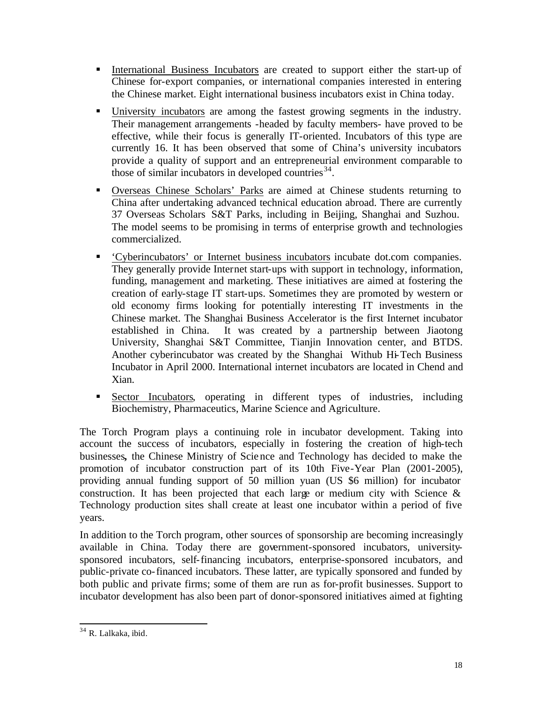- ß International Business Incubators are created to support either the start-up of Chinese for-export companies, or international companies interested in entering the Chinese market. Eight international business incubators exist in China today.
- ß University incubators are among the fastest growing segments in the industry. Their management arrangements -headed by faculty members- have proved to be effective, while their focus is generally IT-oriented. Incubators of this type are currently 16. It has been observed that some of China's university incubators provide a quality of support and an entrepreneurial environment comparable to those of similar incubators in developed countries  $34$ .
- ß Overseas Chinese Scholars' Parks are aimed at Chinese students returning to China after undertaking advanced technical education abroad. There are currently 37 Overseas Scholars S&T Parks, including in Beijing, Shanghai and Suzhou. The model seems to be promising in terms of enterprise growth and technologies commercialized.
- ß 'Cyberincubators' or Internet business incubators incubate dot.com companies. They generally provide Internet start-ups with support in technology, information, funding, management and marketing. These initiatives are aimed at fostering the creation of early-stage IT start-ups. Sometimes they are promoted by western or old economy firms looking for potentially interesting IT investments in the Chinese market. The Shanghai Business Accelerator is the first Internet incubator established in China. It was created by a partnership between Jiaotong University, Shanghai S&T Committee, Tianjin Innovation center, and BTDS. Another cyberincubator was created by the Shanghai Withub Hi-Tech Business Incubator in April 2000. International internet incubators are located in Chend and Xian.
- ß Sector Incubators, operating in different types of industries, including Biochemistry, Pharmaceutics, Marine Science and Agriculture.

The Torch Program plays a continuing role in incubator development. Taking into account the success of incubators, especially in fostering the creation of high-tech businesses**,** the Chinese Ministry of Science and Technology has decided to make the promotion of incubator construction part of its 10th Five-Year Plan (2001-2005), providing annual funding support of 50 million yuan (US \$6 million) for incubator construction. It has been projected that each large or medium city with Science  $\&$ Technology production sites shall create at least one incubator within a period of five years.

In addition to the Torch program, other sources of sponsorship are becoming increasingly available in China. Today there are government-sponsored incubators, universitysponsored incubators, self-financing incubators, enterprise-sponsored incubators, and public-private co-financed incubators. These latter, are typically sponsored and funded by both public and private firms; some of them are run as for-profit businesses. Support to incubator development has also been part of donor-sponsored initiatives aimed at fighting

<sup>34</sup> R. Lalkaka, ibid*.*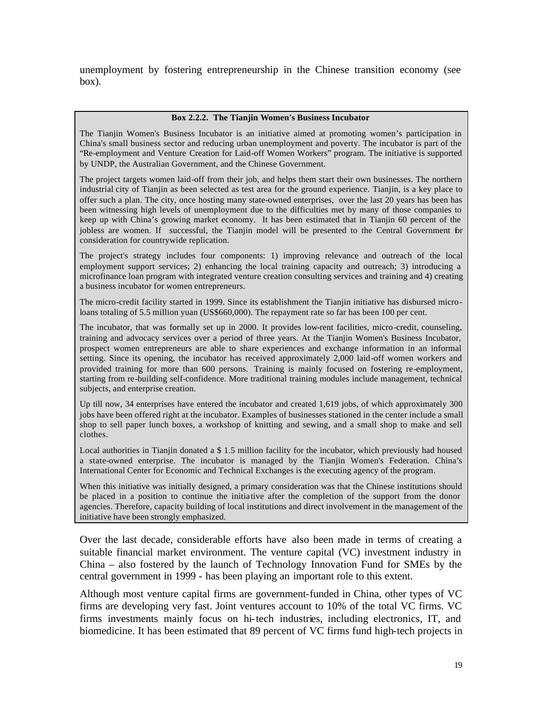unemployment by fostering entrepreneurship in the Chinese transition economy (see box).

#### **Box 2.2.2. The Tianjin Women's Business Incubator**

The Tianjin Women's Business Incubator is an initiative aimed at promoting women's participation in China's small business sector and reducing urban unemployment and poverty. The incubator is part of the "Re-employment and Venture Creation for Laid-off Women Workers" program. The initiative is supported by UNDP, the Australian Government, and the Chinese Government.

The project targets women laid-off from their job, and helps them start their own businesses. The northern industrial city of Tianjin as been selected as test area for the ground experience. Tianjin, is a key place to offer such a plan. The city, once hosting many state-owned enterprises, over the last 20 years has been has been witnessing high levels of unemployment due to the difficulties met by many of those companies to keep up with China's growing market economy. It has been estimated that in Tianjin 60 percent of the jobless are women. If successful, the Tianjin model will be presented to the Central Government for consideration for countrywide replication.

The project's strategy includes four components: 1) improving relevance and outreach of the local employment support services; 2) enhancing the local training capacity and outreach; 3) introducing a microfinance loan program with integrated venture creation consulting services and training and 4) creating a business incubator for women entrepreneurs.

The micro-credit facility started in 1999. Since its establishment the Tianjin initiative has disbursed microloans totaling of 5.5 million yuan (US\$660,000). The repayment rate so far has been 100 per cent.

The incubator, that was formally set up in 2000. It provides low-rent facilities, micro-credit, counseling, training and advocacy services over a period of three years. At the Tianjin Women's Business Incubator, prospect women entrepreneurs are able to share experiences and exchange information in an informal setting. Since its opening, the incubator has received approximately 2,000 laid-off women workers and provided training for more than 600 persons. Training is mainly focused on fostering re-employment, starting from re-building self-confidence. More traditional training modules include management, technical subjects, and enterprise creation.

Up till now, 34 enterprises have entered the incubator and created 1,619 jobs, of which approximately 300 jobs have been offered right at the incubator. Examples of businesses stationed in the center include a small shop to sell paper lunch boxes, a workshop of knitting and sewing, and a small shop to make and sell clothes.

Local authorities in Tianjin donated a \$ 1.5 million facility for the incubator, which previously had housed a state-owned enterprise. The incubator is managed by the Tianjin Women's Federation. China's International Center for Economic and Technical Exchanges is the executing agency of the program.

When this initiative was initially designed, a primary consideration was that the Chinese institutions should be placed in a position to continue the initiative after the completion of the support from the donor agencies. Therefore, capacity building of local institutions and direct involvement in the management of the initiative have been strongly emphasized.

Over the last decade, considerable efforts have also been made in terms of creating a suitable financial market environment. The venture capital (VC) investment industry in China – also fostered by the launch of Technology Innovation Fund for SMEs by the central government in 1999 - has been playing an important role to this extent.

Although most venture capital firms are government-funded in China, other types of VC firms are developing very fast. Joint ventures account to 10% of the total VC firms. VC firms investments mainly focus on hi-tech industries, including electronics, IT, and biomedicine. It has been estimated that 89 percent of VC firms fund high-tech projects in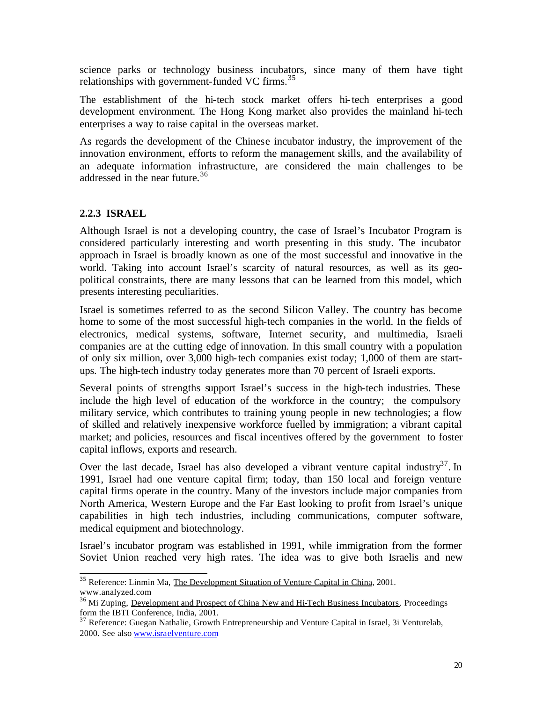science parks or technology business incubators, since many of them have tight relationships with government-funded VC firms.<sup>35</sup>

The establishment of the hi-tech stock market offers hi-tech enterprises a good development environment. The Hong Kong market also provides the mainland hi-tech enterprises a way to raise capital in the overseas market.

As regards the development of the Chinese incubator industry, the improvement of the innovation environment, efforts to reform the management skills, and the availability of an adequate information infrastructure, are considered the main challenges to be addressed in the near future.<sup>36</sup>

# **2.2.3 ISRAEL**

l

Although Israel is not a developing country, the case of Israel's Incubator Program is considered particularly interesting and worth presenting in this study. The incubator approach in Israel is broadly known as one of the most successful and innovative in the world. Taking into account Israel's scarcity of natural resources, as well as its geopolitical constraints, there are many lessons that can be learned from this model, which presents interesting peculiarities.

Israel is sometimes referred to as the second Silicon Valley. The country has become home to some of the most successful high-tech companies in the world. In the fields of electronics, medical systems, software, Internet security, and multimedia, Israeli companies are at the cutting edge of innovation. In this small country with a population of only six million, over 3,000 high-tech companies exist today; 1,000 of them are startups. The high-tech industry today generates more than 70 percent of Israeli exports.

Several points of strengths support Israel's success in the high-tech industries. These include the high level of education of the workforce in the country; the compulsory military service, which contributes to training young people in new technologies; a flow of skilled and relatively inexpensive workforce fuelled by immigration; a vibrant capital market; and policies, resources and fiscal incentives offered by the government to foster capital inflows, exports and research.

Over the last decade, Israel has also developed a vibrant venture capital industry<sup>37</sup>. In 1991, Israel had one venture capital firm; today, than 150 local and foreign venture capital firms operate in the country. Many of the investors include major companies from North America, Western Europe and the Far East looking to profit from Israel's unique capabilities in high tech industries, including communications, computer software, medical equipment and biotechnology.

Israel's incubator program was established in 1991, while immigration from the former Soviet Union reached very high rates. The idea was to give both Israelis and new

<sup>&</sup>lt;sup>35</sup> Reference: Linmin Ma, The Development Situation of Venture Capital in China, 2001. www.analyzed.com

<sup>&</sup>lt;sup>36</sup> Mi Zuping, Development and Prospect of China New and Hi-Tech Business Incubators. Proceedings form the IBTI Conference, India, 2001.

 $37$  Reference: Guegan Nathalie, Growth Entrepreneurship and Venture Capital in Israel, 3i Venturelab, 2000. See also www.israelventure.com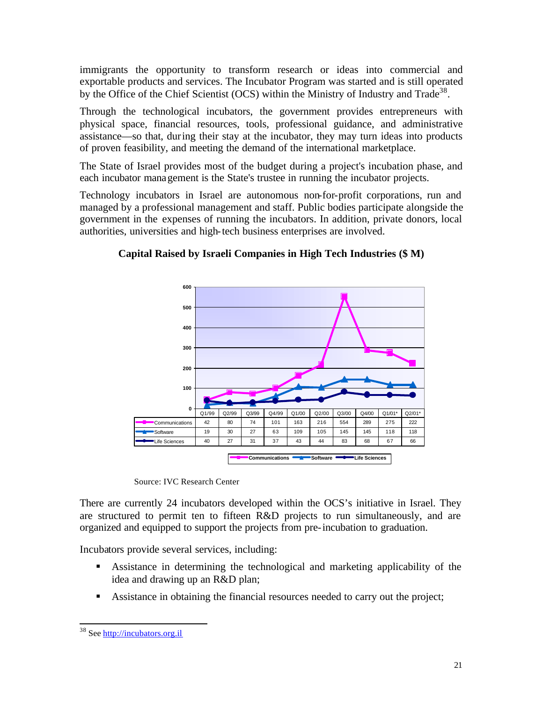immigrants the opportunity to transform research or ideas into commercial and exportable products and services. The Incubator Program was started and is still operated by the Office of the Chief Scientist (OCS) within the Ministry of Industry and Trade<sup>38</sup>.

Through the technological incubators, the government provides entrepreneurs with physical space, financial resources, tools, professional guidance, and administrative assistance—so that, during their stay at the incubator, they may turn ideas into products of proven feasibility, and meeting the demand of the international marketplace.

The State of Israel provides most of the budget during a project's incubation phase, and each incubator management is the State's trustee in running the incubator projects.

Technology incubators in Israel are autonomous non-for-profit corporations, run and managed by a professional management and staff. Public bodies participate alongside the government in the expenses of running the incubators. In addition, private donors, local authorities, universities and high-tech business enterprises are involved.



**Capital Raised by Israeli Companies in High Tech Industries (\$ M)**

Source: IVC Research Center

There are currently 24 incubators developed within the OCS's initiative in Israel. They are structured to permit ten to fifteen R&D projects to run simultaneously, and are organized and equipped to support the projects from pre-incubation to graduation.

Incubators provide several services, including:

- ß Assistance in determining the technological and marketing applicability of the idea and drawing up an R&D plan;
- **BE** Assistance in obtaining the financial resources needed to carry out the project;

<sup>38</sup> See http://incubators.org.il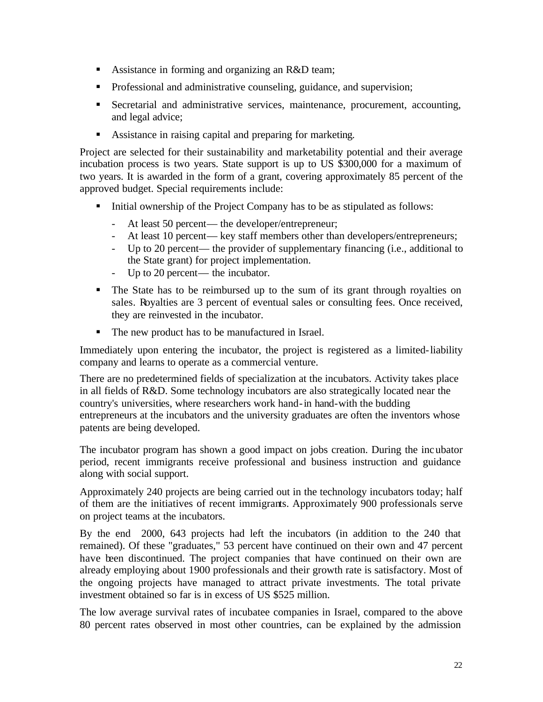- Assistance in forming and organizing an R&D team;
- **•** Professional and administrative counseling, guidance, and supervision;
- **Becretarial and administrative services, maintenance, procurement, accounting,** and legal advice;
- **BETH** Assistance in raising capital and preparing for marketing.

Project are selected for their sustainability and marketability potential and their average incubation process is two years. State support is up to US \$300,000 for a maximum of two years. It is awarded in the form of a grant, covering approximately 85 percent of the approved budget. Special requirements include:

- Initial ownership of the Project Company has to be as stipulated as follows:
	- At least 50 percent— the developer/entrepreneur;
	- At least 10 percent— key staff members other than developers/entrepreneurs;
	- Up to 20 percent— the provider of supplementary financing (i.e., additional to the State grant) for project implementation.
	- Up to 20 percent— the incubator.
- The State has to be reimbursed up to the sum of its grant through royalties on sales. Royalties are 3 percent of eventual sales or consulting fees. Once received, they are reinvested in the incubator.
- The new product has to be manufactured in Israel.

Immediately upon entering the incubator, the project is registered as a limited-liability company and learns to operate as a commercial venture.

There are no predetermined fields of specialization at the incubators. Activity takes place in all fields of R&D. Some technology incubators are also strategically located near the country's universities, where researchers work hand-in hand-with the budding entrepreneurs at the incubators and the university graduates are often the inventors whose patents are being developed.

The incubator program has shown a good impact on jobs creation. During the incubator period, recent immigrants receive professional and business instruction and guidance along with social support.

Approximately 240 projects are being carried out in the technology incubators today; half of them are the initiatives of recent immigrants. Approximately 900 professionals serve on project teams at the incubators.

By the end 2000, 643 projects had left the incubators (in addition to the 240 that remained). Of these "graduates," 53 percent have continued on their own and 47 percent have been discontinued. The project companies that have continued on their own are already employing about 1900 professionals and their growth rate is satisfactory. Most of the ongoing projects have managed to attract private investments. The total private investment obtained so far is in excess of US \$525 million.

The low average survival rates of incubatee companies in Israel, compared to the above 80 percent rates observed in most other countries, can be explained by the admission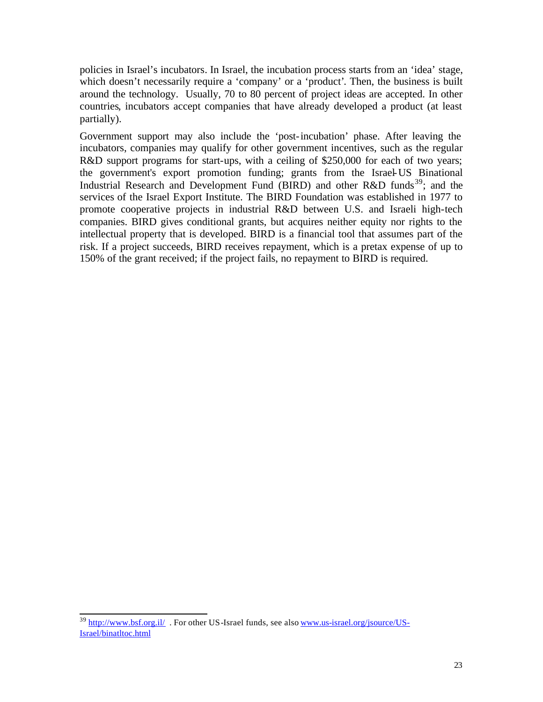policies in Israel's incubators. In Israel, the incubation process starts from an 'idea' stage, which doesn't necessarily require a 'company' or a 'product'. Then, the business is built around the technology. Usually, 70 to 80 percent of project ideas are accepted. In other countries, incubators accept companies that have already developed a product (at least partially).

Government support may also include the 'post-incubation' phase. After leaving the incubators, companies may qualify for other government incentives, such as the regular R&D support programs for start-ups, with a ceiling of \$250,000 for each of two years; the government's export promotion funding; grants from the Israel-US Binational Industrial Research and Development Fund (BIRD) and other  $R&D$  funds<sup>39</sup>; and the services of the Israel Export Institute. The BIRD Foundation was established in 1977 to promote cooperative projects in industrial R&D between U.S. and Israeli high-tech companies. BIRD gives conditional grants, but acquires neither equity nor rights to the intellectual property that is developed. BIRD is a financial tool that assumes part of the risk. If a project succeeds, BIRD receives repayment, which is a pretax expense of up to 150% of the grant received; if the project fails, no repayment to BIRD is required.

<sup>&</sup>lt;sup>39</sup> http://www.bsf.org.il/. For other US-Israel funds, see also www.us-israel.org/jsource/US-Israel/binatltoc.html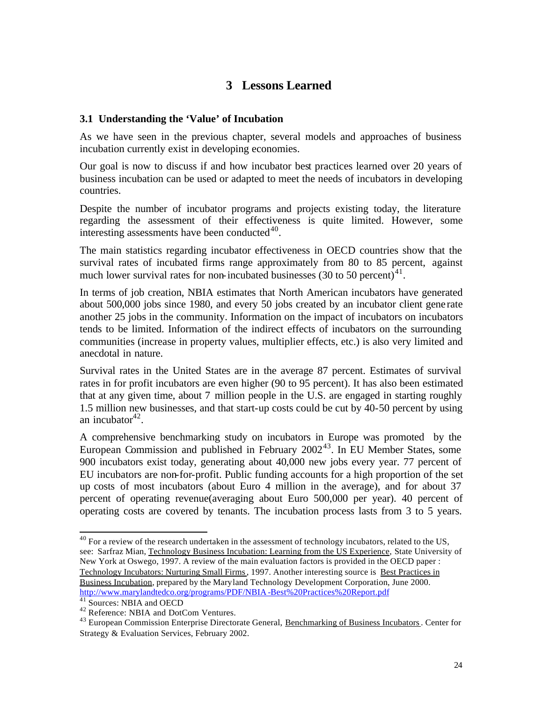# **3 Lessons Learned**

#### **3.1 Understanding the 'Value' of Incubation**

As we have seen in the previous chapter, several models and approaches of business incubation currently exist in developing economies.

Our goal is now to discuss if and how incubator best practices learned over 20 years of business incubation can be used or adapted to meet the needs of incubators in developing countries.

Despite the number of incubator programs and projects existing today, the literature regarding the assessment of their effectiveness is quite limited. However, some interesting assessments have been conducted $40$ .

The main statistics regarding incubator effectiveness in OECD countries show that the survival rates of incubated firms range approximately from 80 to 85 percent, against much lower survival rates for non-incubated businesses (30 to 50 percent) $41$ .

In terms of job creation, NBIA estimates that North American incubators have generated about 500,000 jobs since 1980, and every 50 jobs created by an incubator client gene rate another 25 jobs in the community. Information on the impact of incubators on incubators tends to be limited. Information of the indirect effects of incubators on the surrounding communities (increase in property values, multiplier effects, etc.) is also very limited and anecdotal in nature.

Survival rates in the United States are in the average 87 percent. Estimates of survival rates in for profit incubators are even higher (90 to 95 percent). It has also been estimated that at any given time, about 7 million people in the U.S. are engaged in starting roughly 1.5 million new businesses, and that start-up costs could be cut by 40-50 percent by using an incubator $42$ .

A comprehensive benchmarking study on incubators in Europe was promoted by the European Commission and published in February  $2002^{43}$ . In EU Member States, some 900 incubators exist today, generating about 40,000 new jobs every year. 77 percent of EU incubators are non-for-profit. Public funding accounts for a high proportion of the set up costs of most incubators (about Euro 4 million in the average), and for about 37 percent of operating revenue(averaging about Euro 500,000 per year). 40 percent of operating costs are covered by tenants. The incubation process lasts from 3 to 5 years.

 $40$  For a review of the research undertaken in the assessment of technology incubators, related to the US, see: Sarfraz Mian, Technology Business Incubation: Learning from the US Experience, State University of New York at Oswego, 1997. A review of the main evaluation factors is provided in the OECD paper : Technology Incubators: Nurturing Small Firms, 1997. Another interesting source is Best Practices in Business Incubation, prepared by the Maryland Technology Development Corporation, June 2000. http://www.marylandtedco.org/programs/PDF/NBIA -Best%20Practices%20Report.pdf

<sup>&</sup>lt;sup>41</sup> Sources: NBIA and OECD

<sup>&</sup>lt;sup>42</sup> Reference: NBIA and DotCom Ventures.

<sup>&</sup>lt;sup>43</sup> European Commission Enterprise Directorate General, Benchmarking of Business Incubators. Center for Strategy & Evaluation Services, February 2002.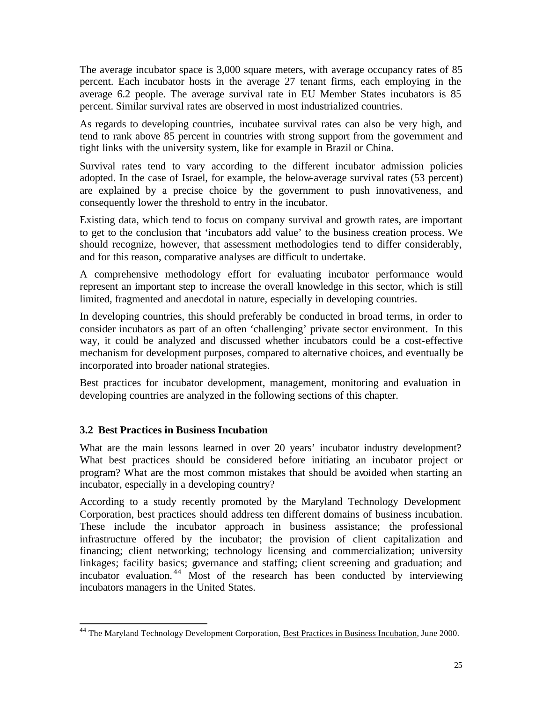The average incubator space is 3,000 square meters, with average occupancy rates of 85 percent. Each incubator hosts in the average 27 tenant firms, each employing in the average 6.2 people. The average survival rate in EU Member States incubators is 85 percent. Similar survival rates are observed in most industrialized countries.

As regards to developing countries, incubatee survival rates can also be very high, and tend to rank above 85 percent in countries with strong support from the government and tight links with the university system, like for example in Brazil or China.

Survival rates tend to vary according to the different incubator admission policies adopted. In the case of Israel, for example, the below-average survival rates (53 percent) are explained by a precise choice by the government to push innovativeness, and consequently lower the threshold to entry in the incubator.

Existing data, which tend to focus on company survival and growth rates, are important to get to the conclusion that 'incubators add value' to the business creation process. We should recognize, however, that assessment methodologies tend to differ considerably, and for this reason, comparative analyses are difficult to undertake.

A comprehensive methodology effort for evaluating incubator performance would represent an important step to increase the overall knowledge in this sector, which is still limited, fragmented and anecdotal in nature, especially in developing countries.

In developing countries, this should preferably be conducted in broad terms, in order to consider incubators as part of an often 'challenging' private sector environment. In this way, it could be analyzed and discussed whether incubators could be a cost-effective mechanism for development purposes, compared to alternative choices, and eventually be incorporated into broader national strategies.

Best practices for incubator development, management, monitoring and evaluation in developing countries are analyzed in the following sections of this chapter.

## **3.2 Best Practices in Business Incubation**

l

What are the main lessons learned in over 20 years' incubator industry development? What best practices should be considered before initiating an incubator project or program? What are the most common mistakes that should be avoided when starting an incubator, especially in a developing country?

According to a study recently promoted by the Maryland Technology Development Corporation, best practices should address ten different domains of business incubation. These include the incubator approach in business assistance; the professional infrastructure offered by the incubator; the provision of client capitalization and financing; client networking; technology licensing and commercialization; university linkages; facility basics; governance and staffing; client screening and graduation; and incubator evaluation. <sup>44</sup> Most of the research has been conducted by interviewing incubators managers in the United States.

<sup>&</sup>lt;sup>44</sup> The Maryland Technology Development Corporation, Best Practices in Business Incubation, June 2000.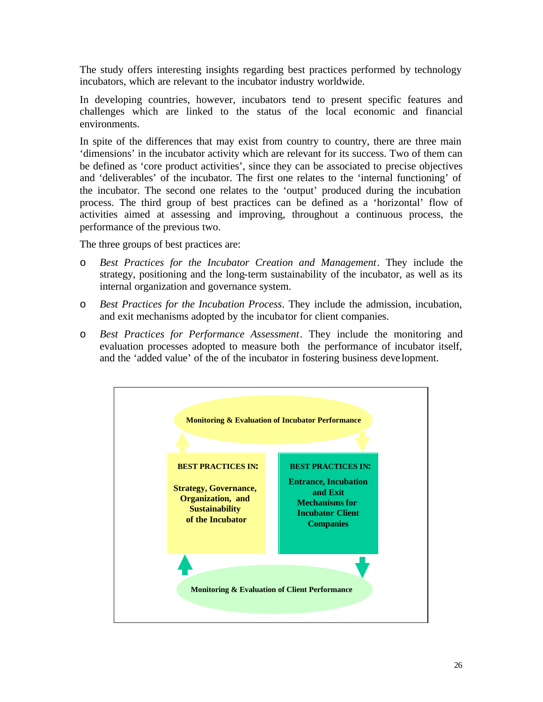The study offers interesting insights regarding best practices performed by technology incubators, which are relevant to the incubator industry worldwide.

In developing countries, however, incubators tend to present specific features and challenges which are linked to the status of the local economic and financial environments.

In spite of the differences that may exist from country to country, there are three main 'dimensions' in the incubator activity which are relevant for its success. Two of them can be defined as 'core product activities', since they can be associated to precise objectives and 'deliverables' of the incubator. The first one relates to the 'internal functioning' of the incubator. The second one relates to the 'output' produced during the incubation process. The third group of best practices can be defined as a 'horizontal' flow of activities aimed at assessing and improving, throughout a continuous process, the performance of the previous two.

The three groups of best practices are:

- o *Best Practices for the Incubator Creation and Management*. They include the strategy, positioning and the long-term sustainability of the incubator, as well as its internal organization and governance system.
- o *Best Practices for the Incubation Process*. They include the admission, incubation, and exit mechanisms adopted by the incubator for client companies.
- o *Best Practices for Performance Assessment*. They include the monitoring and evaluation processes adopted to measure both the performance of incubator itself, and the 'added value' of the of the incubator in fostering business deve lopment.

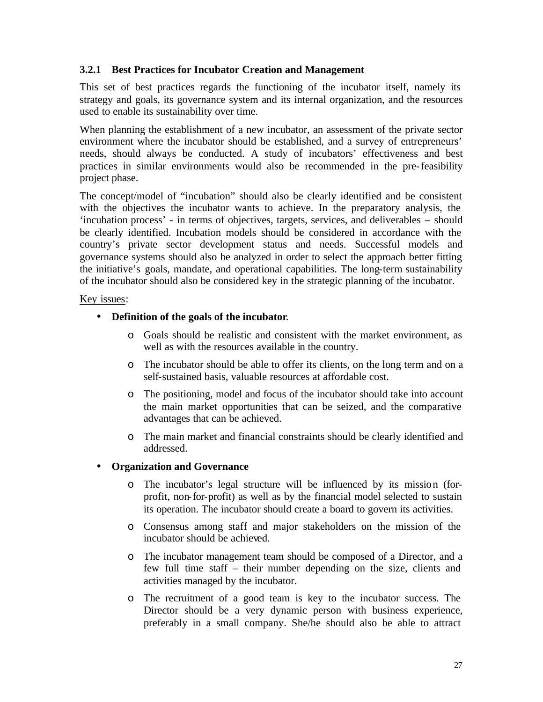#### **3.2.1 Best Practices for Incubator Creation and Management**

This set of best practices regards the functioning of the incubator itself, namely its strategy and goals, its governance system and its internal organization, and the resources used to enable its sustainability over time.

When planning the establishment of a new incubator, an assessment of the private sector environment where the incubator should be established, and a survey of entrepreneurs' needs, should always be conducted. A study of incubators' effectiveness and best practices in similar environments would also be recommended in the pre-feasibility project phase.

The concept/model of "incubation" should also be clearly identified and be consistent with the objectives the incubator wants to achieve. In the preparatory analysis, the 'incubation process' - in terms of objectives, targets, services, and deliverables – should be clearly identified. Incubation models should be considered in accordance with the country's private sector development status and needs. Successful models and governance systems should also be analyzed in order to select the approach better fitting the initiative's goals, mandate, and operational capabilities. The long-term sustainability of the incubator should also be considered key in the strategic planning of the incubator.

#### Key issues:

- **Definition of the goals of the incubator**.
	- o Goals should be realistic and consistent with the market environment, as well as with the resources available in the country.
	- o The incubator should be able to offer its clients, on the long term and on a self-sustained basis, valuable resources at affordable cost.
	- o The positioning, model and focus of the incubator should take into account the main market opportunities that can be seized, and the comparative advantages that can be achieved.
	- o The main market and financial constraints should be clearly identified and addressed.

#### • **Organization and Governance**

- o The incubator's legal structure will be influenced by its mission (forprofit, non-for-profit) as well as by the financial model selected to sustain its operation. The incubator should create a board to govern its activities.
- o Consensus among staff and major stakeholders on the mission of the incubator should be achieved.
- o The incubator management team should be composed of a Director, and a few full time staff – their number depending on the size, clients and activities managed by the incubator.
- o The recruitment of a good team is key to the incubator success. The Director should be a very dynamic person with business experience, preferably in a small company. She/he should also be able to attract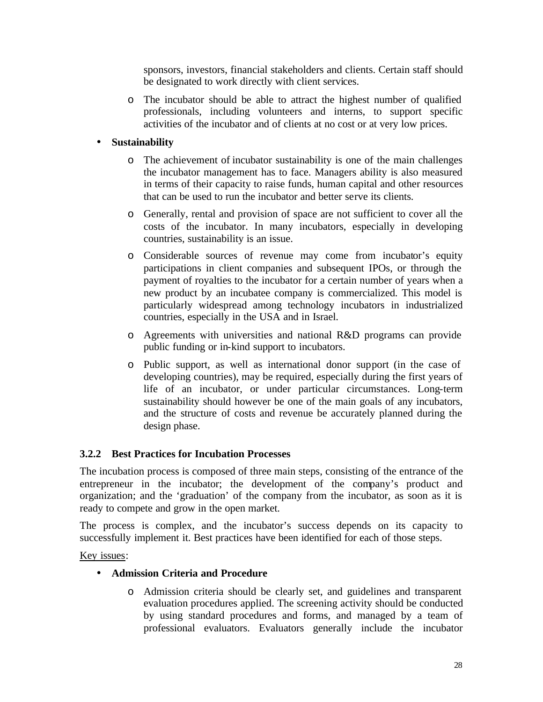sponsors, investors, financial stakeholders and clients. Certain staff should be designated to work directly with client services.

o The incubator should be able to attract the highest number of qualified professionals, including volunteers and interns, to support specific activities of the incubator and of clients at no cost or at very low prices.

# • **Sustainability**

- o The achievement of incubator sustainability is one of the main challenges the incubator management has to face. Managers ability is also measured in terms of their capacity to raise funds, human capital and other resources that can be used to run the incubator and better serve its clients.
- o Generally, rental and provision of space are not sufficient to cover all the costs of the incubator. In many incubators, especially in developing countries, sustainability is an issue.
- o Considerable sources of revenue may come from incubator's equity participations in client companies and subsequent IPOs, or through the payment of royalties to the incubator for a certain number of years when a new product by an incubatee company is commercialized. This model is particularly widespread among technology incubators in industrialized countries, especially in the USA and in Israel.
- o Agreements with universities and national R&D programs can provide public funding or in-kind support to incubators.
- o Public support, as well as international donor support (in the case of developing countries), may be required, especially during the first years of life of an incubator, or under particular circumstances. Long-term sustainability should however be one of the main goals of any incubators, and the structure of costs and revenue be accurately planned during the design phase.

## **3.2.2 Best Practices for Incubation Processes**

The incubation process is composed of three main steps, consisting of the entrance of the entrepreneur in the incubator; the development of the company's product and organization; and the 'graduation' of the company from the incubator, as soon as it is ready to compete and grow in the open market.

The process is complex, and the incubator's success depends on its capacity to successfully implement it. Best practices have been identified for each of those steps.

Key issues:

## • **Admission Criteria and Procedure**

o Admission criteria should be clearly set, and guidelines and transparent evaluation procedures applied. The screening activity should be conducted by using standard procedures and forms, and managed by a team of professional evaluators. Evaluators generally include the incubator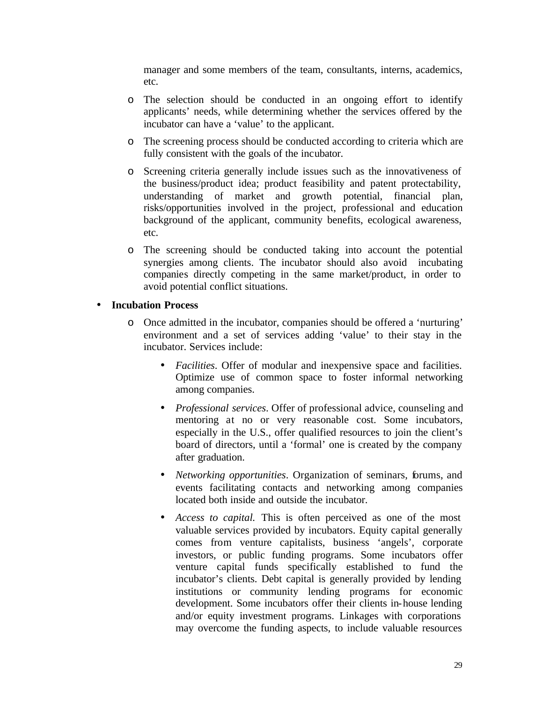manager and some members of the team, consultants, interns, academics, etc.

- o The selection should be conducted in an ongoing effort to identify applicants' needs, while determining whether the services offered by the incubator can have a 'value' to the applicant.
- o The screening process should be conducted according to criteria which are fully consistent with the goals of the incubator.
- o Screening criteria generally include issues such as the innovativeness of the business/product idea; product feasibility and patent protectability, understanding of market and growth potential, financial plan, risks/opportunities involved in the project, professional and education background of the applicant, community benefits, ecological awareness, etc.
- o The screening should be conducted taking into account the potential synergies among clients. The incubator should also avoid incubating companies directly competing in the same market/product, in order to avoid potential conflict situations.

#### • **Incubation Process**

- o Once admitted in the incubator, companies should be offered a 'nurturing' environment and a set of services adding 'value' to their stay in the incubator. Services include:
	- *Facilities*. Offer of modular and inexpensive space and facilities. Optimize use of common space to foster informal networking among companies.
	- *Professional services*. Offer of professional advice, counseling and mentoring at no or very reasonable cost. Some incubators, especially in the U.S., offer qualified resources to join the client's board of directors, until a 'formal' one is created by the company after graduation.
	- *Networking opportunities*. Organization of seminars, forums, and events facilitating contacts and networking among companies located both inside and outside the incubator.
	- *Access to capital.* This is often perceived as one of the most valuable services provided by incubators. Equity capital generally comes from venture capitalists, business 'angels', corporate investors, or public funding programs. Some incubators offer venture capital funds specifically established to fund the incubator's clients. Debt capital is generally provided by lending institutions or community lending programs for economic development. Some incubators offer their clients in-house lending and/or equity investment programs. Linkages with corporations may overcome the funding aspects, to include valuable resources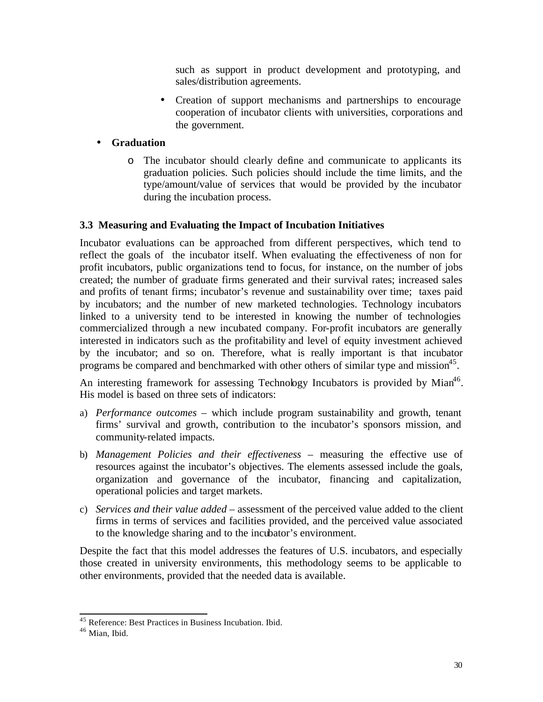such as support in product development and prototyping, and sales/distribution agreements.

• Creation of support mechanisms and partnerships to encourage cooperation of incubator clients with universities, corporations and the government.

# • **Graduation**

o The incubator should clearly define and communicate to applicants its graduation policies. Such policies should include the time limits, and the type/amount/value of services that would be provided by the incubator during the incubation process.

# **3.3 Measuring and Evaluating the Impact of Incubation Initiatives**

Incubator evaluations can be approached from different perspectives, which tend to reflect the goals of the incubator itself. When evaluating the effectiveness of non for profit incubators, public organizations tend to focus, for instance, on the number of jobs created; the number of graduate firms generated and their survival rates; increased sales and profits of tenant firms; incubator's revenue and sustainability over time; taxes paid by incubators; and the number of new marketed technologies. Technology incubators linked to a university tend to be interested in knowing the number of technologies commercialized through a new incubated company. For-profit incubators are generally interested in indicators such as the profitability and level of equity investment achieved by the incubator; and so on. Therefore, what is really important is that incubator programs be compared and benchmarked with other others of similar type and mission<sup>45</sup>.

An interesting framework for assessing Technology Incubators is provided by Mian<sup>46</sup>. His model is based on three sets of indicators:

- a) *Performance outcomes* which include program sustainability and growth, tenant firms' survival and growth, contribution to the incubator's sponsors mission, and community-related impacts.
- b) *Management Policies and their effectiveness* measuring the effective use of resources against the incubator's objectives. The elements assessed include the goals, organization and governance of the incubator, financing and capitalization, operational policies and target markets.
- c) *Services and their value added* assessment of the perceived value added to the client firms in terms of services and facilities provided, and the perceived value associated to the knowledge sharing and to the incubator's environment.

Despite the fact that this model addresses the features of U.S. incubators, and especially those created in university environments, this methodology seems to be applicable to other environments, provided that the needed data is available.

<sup>&</sup>lt;sup>45</sup> Reference: Best Practices in Business Incubation. Ibid.

<sup>46</sup> Mian, Ibid.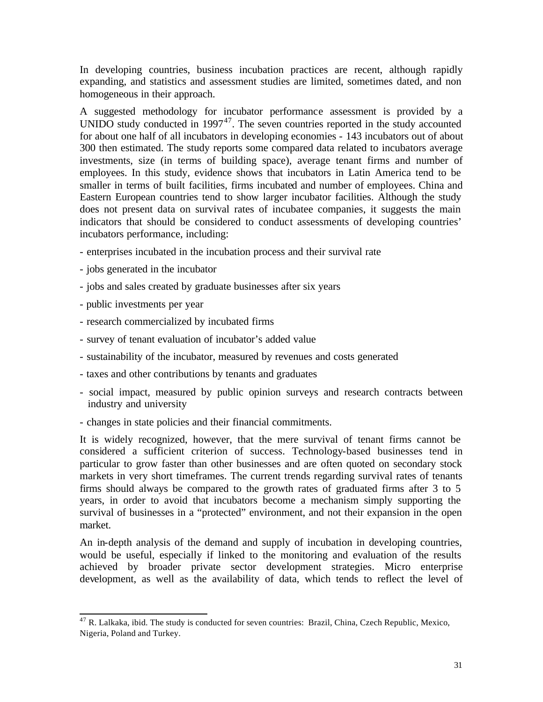In developing countries, business incubation practices are recent, although rapidly expanding, and statistics and assessment studies are limited, sometimes dated, and non homogeneous in their approach.

A suggested methodology for incubator performance assessment is provided by a UNIDO study conducted in  $1997^{47}$ . The seven countries reported in the study accounted for about one half of all incubators in developing economies - 143 incubators out of about 300 then estimated. The study reports some compared data related to incubators average investments, size (in terms of building space), average tenant firms and number of employees. In this study, evidence shows that incubators in Latin America tend to be smaller in terms of built facilities, firms incubated and number of employees. China and Eastern European countries tend to show larger incubator facilities. Although the study does not present data on survival rates of incubatee companies, it suggests the main indicators that should be considered to conduct assessments of developing countries' incubators performance, including:

- enterprises incubated in the incubation process and their survival rate
- jobs generated in the incubator
- jobs and sales created by graduate businesses after six years
- public investments per year

l

- research commercialized by incubated firms
- survey of tenant evaluation of incubator's added value
- sustainability of the incubator, measured by revenues and costs generated
- taxes and other contributions by tenants and graduates
- social impact, measured by public opinion surveys and research contracts between industry and university
- changes in state policies and their financial commitments.

It is widely recognized, however, that the mere survival of tenant firms cannot be considered a sufficient criterion of success. Technology-based businesses tend in particular to grow faster than other businesses and are often quoted on secondary stock markets in very short timeframes. The current trends regarding survival rates of tenants firms should always be compared to the growth rates of graduated firms after 3 to 5 years, in order to avoid that incubators become a mechanism simply supporting the survival of businesses in a "protected" environment, and not their expansion in the open market.

An in-depth analysis of the demand and supply of incubation in developing countries, would be useful, especially if linked to the monitoring and evaluation of the results achieved by broader private sector development strategies. Micro enterprise development, as well as the availability of data, which tends to reflect the level of

 $^{47}$  R. Lalkaka, ibid. The study is conducted for seven countries: Brazil, China, Czech Republic, Mexico, Nigeria, Poland and Turkey.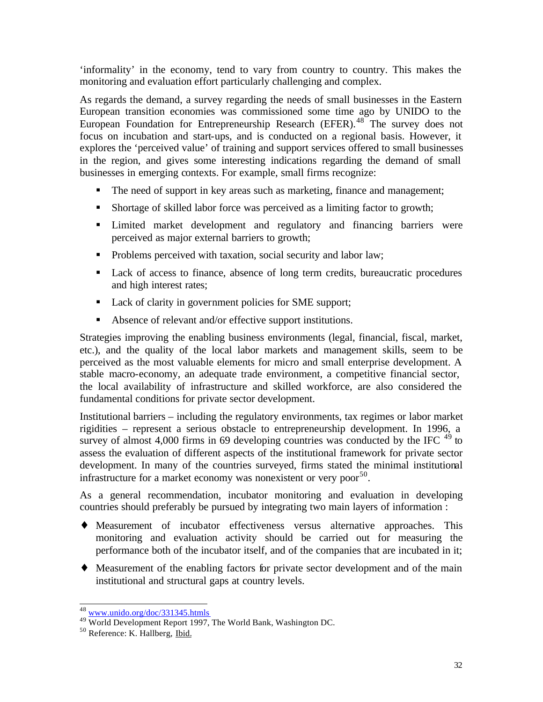'informality' in the economy, tend to vary from country to country. This makes the monitoring and evaluation effort particularly challenging and complex.

As regards the demand, a survey regarding the needs of small businesses in the Eastern European transition economies was commissioned some time ago by UNIDO to the European Foundation for Entrepreneurship Research (EFER).<sup>48</sup> The survey does not focus on incubation and start-ups, and is conducted on a regional basis. However, it explores the 'perceived value' of training and support services offered to small businesses in the region, and gives some interesting indications regarding the demand of small businesses in emerging contexts. For example, small firms recognize:

- The need of support in key areas such as marketing, finance and management;
- ß Shortage of skilled labor force was perceived as a limiting factor to growth;
- Imited market development and regulatory and financing barriers were perceived as major external barriers to growth;
- Problems perceived with taxation, social security and labor law;
- Lack of access to finance, absence of long term credits, bureaucratic procedures and high interest rates;
- **Lack of clarity in government policies for SME support;**
- Absence of relevant and/or effective support institutions.

Strategies improving the enabling business environments (legal, financial, fiscal, market, etc.), and the quality of the local labor markets and management skills, seem to be perceived as the most valuable elements for micro and small enterprise development. A stable macro-economy, an adequate trade environment, a competitive financial sector, the local availability of infrastructure and skilled workforce, are also considered the fundamental conditions for private sector development.

Institutional barriers – including the regulatory environments, tax regimes or labor market rigidities – represent a serious obstacle to entrepreneurship development. In 1996, a survey of almost 4,000 firms in 69 developing countries was conducted by the IFC  $^{49}$  to assess the evaluation of different aspects of the institutional framework for private sector development. In many of the countries surveyed, firms stated the minimal institutional infrastructure for a market economy was nonexistent or very poor<sup>50</sup>.

As a general recommendation, incubator monitoring and evaluation in developing countries should preferably be pursued by integrating two main layers of information :

- ♦ Measurement of incubator effectiveness versus alternative approaches. This monitoring and evaluation activity should be carried out for measuring the performance both of the incubator itself, and of the companies that are incubated in it;
- ♦ Measurement of the enabling factors for private sector development and of the main institutional and structural gaps at country levels.

<sup>&</sup>lt;sup>48</sup> www.unido.org/doc/331345.htmls

<sup>49</sup> World Development Report 1997, The World Bank, Washington DC.

<sup>50</sup> Reference: K. Hallberg, Ibid.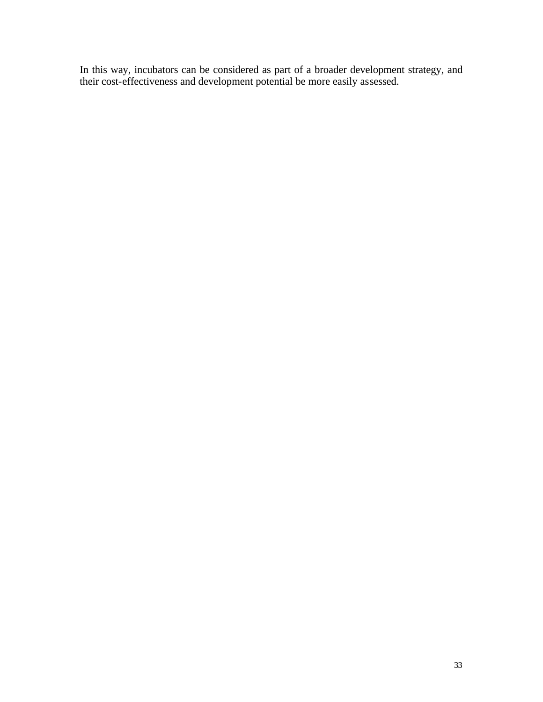In this way, incubators can be considered as part of a broader development strategy, and their cost-effectiveness and development potential be more easily assessed.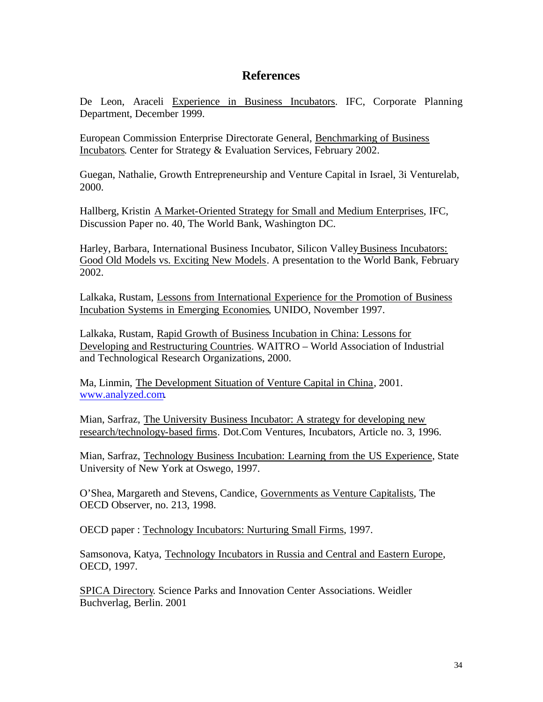# **References**

De Leon, Araceli Experience in Business Incubators. IFC, Corporate Planning Department, December 1999.

European Commission Enterprise Directorate General, Benchmarking of Business Incubators. Center for Strategy & Evaluation Services, February 2002.

Guegan, Nathalie, Growth Entrepreneurship and Venture Capital in Israel, 3i Venturelab, 2000.

Hallberg, Kristin A Market-Oriented Strategy for Small and Medium Enterprises, IFC, Discussion Paper no. 40, The World Bank, Washington DC.

Harley, Barbara, International Business Incubator, Silicon Valley Business Incubators: Good Old Models vs. Exciting New Models. A presentation to the World Bank, February 2002.

Lalkaka, Rustam, Lessons from International Experience for the Promotion of Business Incubation Systems in Emerging Economies, UNIDO, November 1997.

Lalkaka, Rustam, Rapid Growth of Business Incubation in China: Lessons for Developing and Restructuring Countries. WAITRO – World Association of Industrial and Technological Research Organizations, 2000.

Ma, Linmin, The Development Situation of Venture Capital in China, 2001. www.analyzed.com.

Mian, Sarfraz, The University Business Incubator: A strategy for developing new research/technology-based firms. Dot.Com Ventures, Incubators, Article no. 3, 1996.

Mian, Sarfraz, Technology Business Incubation: Learning from the US Experience, State University of New York at Oswego, 1997.

O'Shea, Margareth and Stevens, Candice, Governments as Venture Capitalists, The OECD Observer, no. 213, 1998.

OECD paper : Technology Incubators: Nurturing Small Firms, 1997.

Samsonova, Katya, Technology Incubators in Russia and Central and Eastern Europe, OECD, 1997.

SPICA Directory. Science Parks and Innovation Center Associations. Weidler Buchverlag, Berlin. 2001